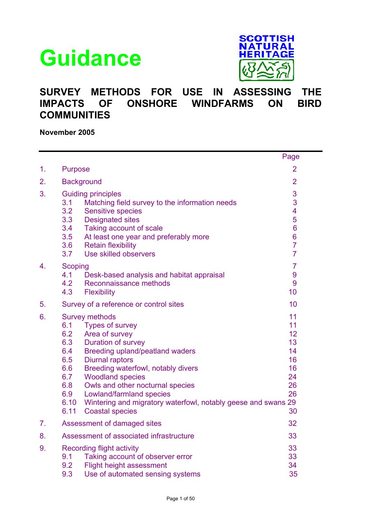<span id="page-0-0"></span>



## **SURVEY METHODS FOR USE IN ASSESSING THE IMPACTS OF ONSHORE WINDFARMS ON BIRD COMMUNITIES**

**November 2005** 

|    |                                                                                          |                                                                                                                                                                                                                                                                                                                                      | Page                                                                  |
|----|------------------------------------------------------------------------------------------|--------------------------------------------------------------------------------------------------------------------------------------------------------------------------------------------------------------------------------------------------------------------------------------------------------------------------------------|-----------------------------------------------------------------------|
| 1. | <b>Purpose</b>                                                                           |                                                                                                                                                                                                                                                                                                                                      | $\overline{2}$                                                        |
| 2. | <b>Background</b>                                                                        |                                                                                                                                                                                                                                                                                                                                      | $\overline{2}$                                                        |
| 3. | <b>Guiding principles</b><br>3.1<br>3.2<br>3.3<br>3.4<br>3.5<br>3.6<br>3.7               | Matching field survey to the information needs<br><b>Sensitive species</b><br><b>Designated sites</b><br>Taking account of scale<br>At least one year and preferably more<br><b>Retain flexibility</b><br>Use skilled observers                                                                                                      | 3<br>3<br>4<br>5<br>$\overline{6}$<br>$\frac{6}{7}$<br>$\overline{7}$ |
| 4. | <b>Scoping</b><br>4.1<br>4.2<br>4.3<br><b>Flexibility</b>                                | Desk-based analysis and habitat appraisal<br>Reconnaissance methods                                                                                                                                                                                                                                                                  | $\overline{7}$<br>9<br>9<br>10                                        |
| 5. |                                                                                          | Survey of a reference or control sites                                                                                                                                                                                                                                                                                               | 10                                                                    |
| 6. | <b>Survey methods</b><br>6.1 Types of survey<br>6.2 Area of survey<br>6.5<br>6.6<br>6.11 | 6.3 Duration of survey<br>6.4 Breeding upland/peatland waders<br><b>Diurnal raptors</b><br><b>Breeding waterfowl, notably divers</b><br>6.7 Woodland species<br>6.8 Owls and other nocturnal species<br>6.9 Lowland/farmland species<br>6.10 Wintering and migratory waterfowl, notably geese and swans 29<br><b>Coastal species</b> | 11<br>11<br>12<br>13<br>14<br>16<br>16<br>24<br>26<br>26<br>30        |
| 7. |                                                                                          | Assessment of damaged sites                                                                                                                                                                                                                                                                                                          | 32                                                                    |
| 8. |                                                                                          | Assessment of associated infrastructure                                                                                                                                                                                                                                                                                              | 33                                                                    |
| 9. | <b>Recording flight activity</b><br>9.1<br>9.2<br>9.3                                    | Taking account of observer error<br>Flight height assessment<br>Use of automated sensing systems                                                                                                                                                                                                                                     | 33<br>33<br>34<br>35                                                  |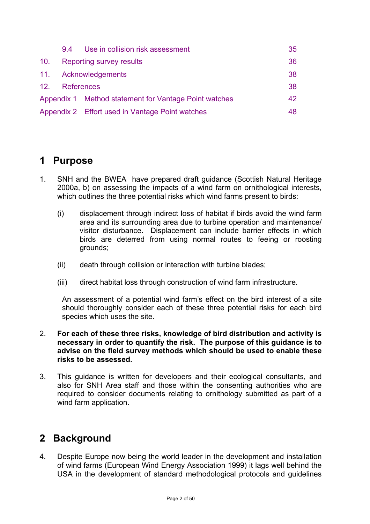<span id="page-1-0"></span>

|                 | 94                         | Use in collision risk assessment                      | 35 |
|-----------------|----------------------------|-------------------------------------------------------|----|
| 10 <sub>1</sub> | Reporting survey results   |                                                       | 36 |
|                 | 38<br>11. Acknowledgements |                                                       |    |
| 12.             | <b>References</b>          |                                                       | 38 |
|                 |                            | Appendix 1 Method statement for Vantage Point watches | 42 |
|                 |                            | Appendix 2 Effort used in Vantage Point watches       | 48 |

# **1 Purpose**

- 1. SNH and the BWEA have prepared draft guidance (Scottish Natural Heritage 2000a, b) on assessing the impacts of a wind farm on ornithological interests, which outlines the three potential risks which wind farms present to birds:
	- (i) displacement through indirect loss of habitat if birds avoid the wind farm area and its surrounding area due to turbine operation and maintenance/ visitor disturbance. Displacement can include barrier effects in which birds are deterred from using normal routes to feeing or roosting grounds;
	- (ii) death through collision or interaction with turbine blades;
	- (iii) direct habitat loss through construction of wind farm infrastructure.

An assessment of a potential wind farm's effect on the bird interest of a site should thoroughly consider each of these three potential risks for each bird species which uses the site.

- 2. **For each of these three risks, knowledge of bird distribution and activity is necessary in order to quantify the risk. The purpose of this guidance is to advise on the field survey methods which should be used to enable these risks to be assessed.**
- 3. This guidance is written for developers and their ecological consultants, and also for SNH Area staff and those within the consenting authorities who are required to consider documents relating to ornithology submitted as part of a wind farm application.

# **2 Background**

4. Despite Europe now being the world leader in the development and installation of wind farms (European Wind Energy Association 1999) it lags well behind the USA in the development of standard methodological protocols and guidelines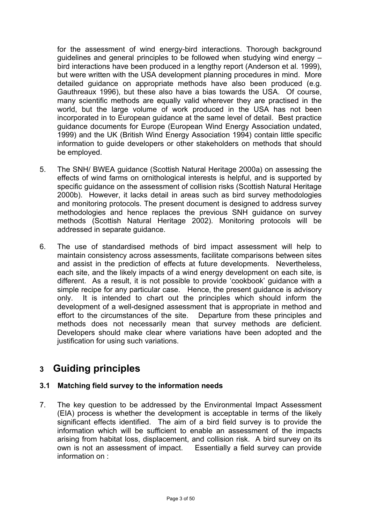<span id="page-2-0"></span>for the assessment of wind energy-bird interactions. Thorough background guidelines and general principles to be followed when studying wind energy – bird interactions have been produced in a lengthy report (Anderson et al. 1999), but were written with the USA development planning procedures in mind. More detailed guidance on appropriate methods have also been produced (e.g. Gauthreaux 1996), but these also have a bias towards the USA. Of course, many scientific methods are equally valid wherever they are practised in the world, but the large volume of work produced in the USA has not been incorporated in to European guidance at the same level of detail. Best practice guidance documents for Europe (European Wind Energy Association undated, 1999) and the UK (British Wind Energy Association 1994) contain little specific information to guide developers or other stakeholders on methods that should be employed.

- 5. The SNH/ BWEA guidance (Scottish Natural Heritage 2000a) on assessing the effects of wind farms on ornithological interests is helpful, and is supported by specific guidance on the assessment of collision risks (Scottish Natural Heritage 2000b). However, it lacks detail in areas such as bird survey methodologies and monitoring protocols. The present document is designed to address survey methodologies and hence replaces the previous SNH guidance on survey methods (Scottish Natural Heritage 2002). Monitoring protocols will be addressed in separate guidance.
- 6. The use of standardised methods of bird impact assessment will help to maintain consistency across assessments, facilitate comparisons between sites and assist in the prediction of effects at future developments. Nevertheless, each site, and the likely impacts of a wind energy development on each site, is different. As a result, it is not possible to provide 'cookbook' guidance with a simple recipe for any particular case. Hence, the present guidance is advisory only. It is intended to chart out the principles which should inform the development of a well-designed assessment that is appropriate in method and effort to the circumstances of the site. Departure from these principles and methods does not necessarily mean that survey methods are deficient. Developers should make clear where variations have been adopted and the justification for using such variations.

# **3 Guiding principles**

## **3.1 Matching field survey to the information needs**

7. The key question to be addressed by the Environmental Impact Assessment (EIA) process is whether the development is acceptable in terms of the likely significant effects identified. The aim of a bird field survey is to provide the information which will be sufficient to enable an assessment of the impacts arising from habitat loss, displacement, and collision risk. A bird survey on its own is not an assessment of impact. Essentially a field survey can provide information on :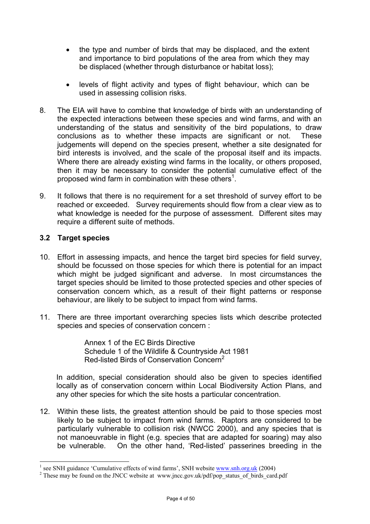- <span id="page-3-0"></span>the type and number of birds that may be displaced, and the extent and importance to bird populations of the area from which they may be displaced (whether through disturbance or habitat loss);
- levels of flight activity and types of flight behaviour, which can be used in assessing collision risks.
- 8. The EIA will have to combine that knowledge of birds with an understanding of the expected interactions between these species and wind farms, and with an understanding of the status and sensitivity of the bird populations, to draw conclusions as to whether these impacts are significant or not. These judgements will depend on the species present, whether a site designated for bird interests is involved, and the scale of the proposal itself and its impacts. Where there are already existing wind farms in the locality, or others proposed. then it may be necessary to consider the potential cumulative effect of the proposed wind farm in combination with these others<sup>[1](#page-3-1)</sup>.
- 9. It follows that there is no requirement for a set threshold of survey effort to be reached or exceeded. Survey requirements should flow from a clear view as to what knowledge is needed for the purpose of assessment. Different sites may require a different suite of methods.

#### **3.2 Target species**

- 10. Effort in assessing impacts, and hence the target bird species for field survey, should be focussed on those species for which there is potential for an impact which might be judged significant and adverse. In most circumstances the target species should be limited to those protected species and other species of conservation concern which, as a result of their flight patterns or response behaviour, are likely to be subject to impact from wind farms.
- 11. There are three important overarching species lists which describe protected species and species of conservation concern :

Annex 1 of the EC Birds Directive Schedule 1 of the Wildlife & Countryside Act 1981 Red-listed Birds of Conservation Concern<sup>[2](#page-3-2)</sup>

In addition, special consideration should also be given to species identified locally as of conservation concern within Local Biodiversity Action Plans, and any other species for which the site hosts a particular concentration.

12. Within these lists, the greatest attention should be paid to those species most likely to be subject to impact from wind farms. Raptors are considered to be particularly vulnerable to collision risk (NWCC 2000), and any species that is not manoeuvrable in flight (e.g. species that are adapted for soaring) may also be vulnerable. On the other hand, 'Red-listed' passerines breeding in the

<span id="page-3-1"></span> $\frac{1}{1}$ <sup>1</sup> see SNH guidance 'Cumulative effects of wind farms', SNH website [www.snh.org.uk](http://www.snh.org.uk/) (2004)

<span id="page-3-2"></span><sup>&</sup>lt;sup>2</sup> These may be found on the JNCC website at www.jncc.gov.uk/pdf/pop\_status\_of\_birds\_card.pdf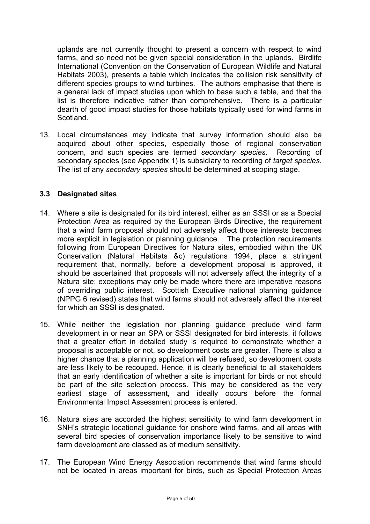<span id="page-4-0"></span>uplands are not currently thought to present a concern with respect to wind farms, and so need not be given special consideration in the uplands. Birdlife International (Convention on the Conservation of European Wildlife and Natural Habitats 2003), presents a table which indicates the collision risk sensitivity of different species groups to wind turbines. The authors emphasise that there is a general lack of impact studies upon which to base such a table, and that the list is therefore indicative rather than comprehensive. There is a particular dearth of good impact studies for those habitats typically used for wind farms in Scotland.

13. Local circumstances may indicate that survey information should also be acquired about other species, especially those of regional conservation concern, and such species are termed *secondary species.* Recording of secondary species (see Appendix 1) is subsidiary to recording of *target species.*  The list of any *secondary species* should be determined at scoping stage.

#### **3.3 Designated sites**

- 14. Where a site is designated for its bird interest, either as an SSSI or as a Special Protection Area as required by the European Birds Directive, the requirement that a wind farm proposal should not adversely affect those interests becomes more explicit in legislation or planning guidance. The protection requirements following from European Directives for Natura sites, embodied within the UK Conservation (Natural Habitats &c) regulations 1994, place a stringent requirement that, normally, before a development proposal is approved, it should be ascertained that proposals will not adversely affect the integrity of a Natura site; exceptions may only be made where there are imperative reasons of overriding public interest. Scottish Executive national planning guidance (NPPG 6 revised) states that wind farms should not adversely affect the interest for which an SSSI is designated.
- 15. While neither the legislation nor planning guidance preclude wind farm development in or near an SPA or SSSI designated for bird interests, it follows that a greater effort in detailed study is required to demonstrate whether a proposal is acceptable or not, so development costs are greater. There is also a higher chance that a planning application will be refused, so development costs are less likely to be recouped. Hence, it is clearly beneficial to all stakeholders that an early identification of whether a site is important for birds or not should be part of the site selection process. This may be considered as the very earliest stage of assessment, and ideally occurs before the formal Environmental Impact Assessment process is entered.
- 16. Natura sites are accorded the highest sensitivity to wind farm development in SNH's strategic locational guidance for onshore wind farms, and all areas with several bird species of conservation importance likely to be sensitive to wind farm development are classed as of medium sensitivity.
- 17. The European Wind Energy Association recommends that wind farms should not be located in areas important for birds, such as Special Protection Areas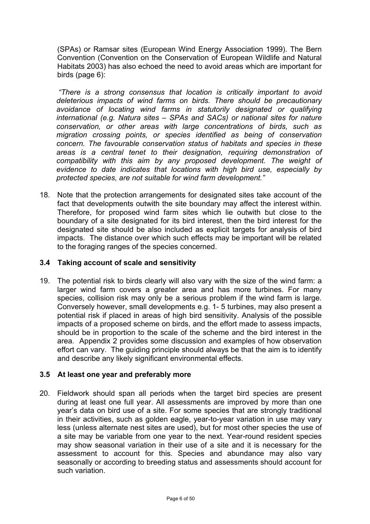<span id="page-5-0"></span>(SPAs) or Ramsar sites (European Wind Energy Association 1999). The Bern Convention (Convention on the Conservation of European Wildlife and Natural Habitats 2003) has also echoed the need to avoid areas which are important for birds (page 6):

*"There is a strong consensus that location is critically important to avoid deleterious impacts of wind farms on birds. There should be precautionary avoidance of locating wind farms in statutorily designated or qualifying international (e.g. Natura sites – SPAs and SACs) or national sites for nature conservation, or other areas with large concentrations of birds, such as migration crossing points, or species identified as being of conservation concern. The favourable conservation status of habitats and species in these areas is a central tenet to their designation, requiring demonstration of compatibility with this aim by any proposed development. The weight of evidence to date indicates that locations with high bird use, especially by protected species, are not suitable for wind farm development."*

18. Note that the protection arrangements for designated sites take account of the fact that developments outwith the site boundary may affect the interest within. Therefore, for proposed wind farm sites which lie outwith but close to the boundary of a site designated for its bird interest, then the bird interest for the designated site should be also included as explicit targets for analysis of bird impacts. The distance over which such effects may be important will be related to the foraging ranges of the species concerned.

#### **3.4 Taking account of scale and sensitivity**

19. The potential risk to birds clearly will also vary with the size of the wind farm: a larger wind farm covers a greater area and has more turbines. For many species, collision risk may only be a serious problem if the wind farm is large. Conversely however, small developments e.g. 1- 5 turbines, may also present a potential risk if placed in areas of high bird sensitivity. Analysis of the possible impacts of a proposed scheme on birds, and the effort made to assess impacts, should be in proportion to the scale of the scheme and the bird interest in the area. Appendix 2 provides some discussion and examples of how observation effort can vary. The guiding principle should always be that the aim is to identify and describe any likely significant environmental effects.

#### **3.5 At least one year and preferably more**

20. Fieldwork should span all periods when the target bird species are present during at least one full year. All assessments are improved by more than one year's data on bird use of a site. For some species that are strongly traditional in their activities, such as golden eagle, year-to-year variation in use may vary less (unless alternate nest sites are used), but for most other species the use of a site may be variable from one year to the next. Year-round resident species may show seasonal variation in their use of a site and it is necessary for the assessment to account for this. Species and abundance may also vary seasonally or according to breeding status and assessments should account for such variation.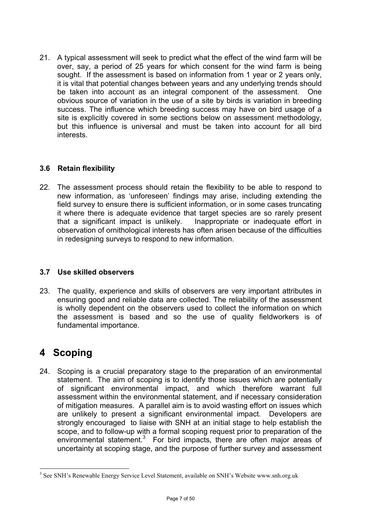<span id="page-6-0"></span>21. A typical assessment will seek to predict what the effect of the wind farm will be over, say, a period of 25 years for which consent for the wind farm is being sought. If the assessment is based on information from 1 year or 2 years only, it is vital that potential changes between years and any underlying trends should be taken into account as an integral component of the assessment. One obvious source of variation in the use of a site by birds is variation in breeding success. The influence which breeding success may have on bird usage of a site is explicitly covered in some sections below on assessment methodology, but this influence is universal and must be taken into account for all bird interests.

## **3.6 Retain flexibility**

22. The assessment process should retain the flexibility to be able to respond to new information, as 'unforeseen' findings may arise, including extending the field survey to ensure there is sufficient information, or in some cases truncating it where there is adequate evidence that target species are so rarely present that a significant impact is unlikely. Inappropriate or inadequate effort in observation of ornithological interests has often arisen because of the difficulties in redesigning surveys to respond to new information.

## **3.7 Use skilled observers**

23. The quality, experience and skills of observers are very important attributes in ensuring good and reliable data are collected. The reliability of the assessment is wholly dependent on the observers used to collect the information on which the assessment is based and so the use of quality fieldworkers is of fundamental importance.

# **4 Scoping**

24. Scoping is a crucial preparatory stage to the preparation of an environmental statement. The aim of scoping is to identify those issues which are potentially of significant environmental impact, and which therefore warrant full assessment within the environmental statement, and if necessary consideration of mitigation measures. A parallel aim is to avoid wasting effort on issues which are unlikely to present a significant environmental impact. Developers are strongly encouraged to liaise with SNH at an initial stage to help establish the scope, and to follow-up with a formal scoping request prior to preparation of the environmental statement. $3$  For bird impacts, there are often major areas of uncertainty at scoping stage, and the purpose of further survey and assessment

<span id="page-6-1"></span><sup>&</sup>lt;sup>2</sup><br>3 <sup>3</sup> See SNH's Renewable Energy Service Level Statement, available on SNH's Website www.snh.org.uk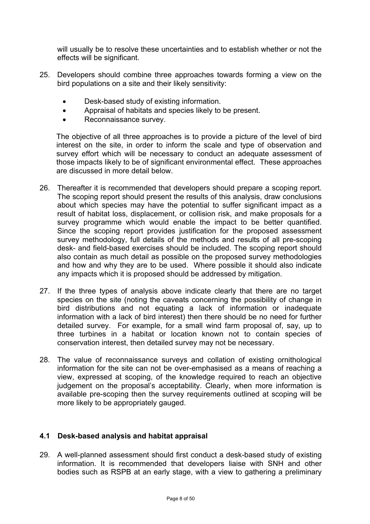<span id="page-7-0"></span>will usually be to resolve these uncertainties and to establish whether or not the effects will be significant.

- 25. Developers should combine three approaches towards forming a view on the bird populations on a site and their likely sensitivity:
	- Desk-based study of existing information.
	- Appraisal of habitats and species likely to be present.
	- Reconnaissance survey.

The objective of all three approaches is to provide a picture of the level of bird interest on the site, in order to inform the scale and type of observation and survey effort which will be necessary to conduct an adequate assessment of those impacts likely to be of significant environmental effect. These approaches are discussed in more detail below.

- 26. Thereafter it is recommended that developers should prepare a scoping report. The scoping report should present the results of this analysis, draw conclusions about which species may have the potential to suffer significant impact as a result of habitat loss, displacement, or collision risk, and make proposals for a survey programme which would enable the impact to be better quantified. Since the scoping report provides justification for the proposed assessment survey methodology, full details of the methods and results of all pre-scoping desk- and field-based exercises should be included. The scoping report should also contain as much detail as possible on the proposed survey methodologies and how and why they are to be used. Where possible it should also indicate any impacts which it is proposed should be addressed by mitigation.
- 27. If the three types of analysis above indicate clearly that there are no target species on the site (noting the caveats concerning the possibility of change in bird distributions and not equating a lack of information or inadequate information with a lack of bird interest) then there should be no need for further detailed survey. For example, for a small wind farm proposal of, say, up to three turbines in a habitat or location known not to contain species of conservation interest, then detailed survey may not be necessary.
- 28. The value of reconnaissance surveys and collation of existing ornithological information for the site can not be over-emphasised as a means of reaching a view, expressed at scoping, of the knowledge required to reach an objective judgement on the proposal's acceptability. Clearly, when more information is available pre-scoping then the survey requirements outlined at scoping will be more likely to be appropriately gauged.

#### **4.1 Desk-based analysis and habitat appraisal**

29. A well-planned assessment should first conduct a desk-based study of existing information. It is recommended that developers liaise with SNH and other bodies such as RSPB at an early stage, with a view to gathering a preliminary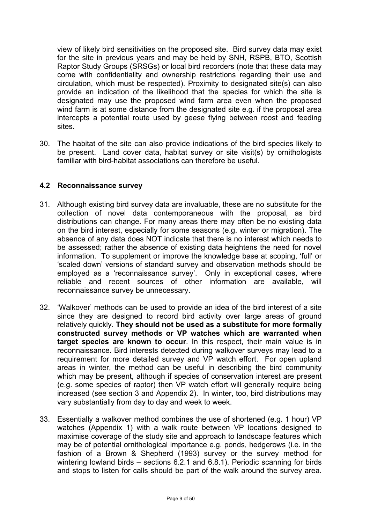<span id="page-8-0"></span>view of likely bird sensitivities on the proposed site. Bird survey data may exist for the site in previous years and may be held by SNH, RSPB, BTO, Scottish Raptor Study Groups (SRSGs) or local bird recorders (note that these data may come with confidentiality and ownership restrictions regarding their use and circulation, which must be respected). Proximity to designated site(s) can also provide an indication of the likelihood that the species for which the site is designated may use the proposed wind farm area even when the proposed wind farm is at some distance from the designated site e.g. if the proposal area intercepts a potential route used by geese flying between roost and feeding sites.

30. The habitat of the site can also provide indications of the bird species likely to be present. Land cover data, habitat survey or site visit(s) by ornithologists familiar with bird-habitat associations can therefore be useful.

#### **4.2 Reconnaissance survey**

- 31. Although existing bird survey data are invaluable, these are no substitute for the collection of novel data contemporaneous with the proposal, as bird distributions can change. For many areas there may often be no existing data on the bird interest, especially for some seasons (e.g. winter or migration). The absence of any data does NOT indicate that there is no interest which needs to be assessed; rather the absence of existing data heightens the need for novel information. To supplement or improve the knowledge base at scoping, 'full' or 'scaled down' versions of standard survey and observation methods should be employed as a 'reconnaissance survey'. Only in exceptional cases, where reliable and recent sources of other information are available, will reconnaissance survey be unnecessary.
- 32. 'Walkover' methods can be used to provide an idea of the bird interest of a site since they are designed to record bird activity over large areas of ground relatively quickly. **They should not be used as a substitute for more formally constructed survey methods or VP watches which are warranted when target species are known to occur**. In this respect, their main value is in reconnaissance. Bird interests detected during walkover surveys may lead to a requirement for more detailed survey and VP watch effort. For open upland areas in winter, the method can be useful in describing the bird community which may be present, although if species of conservation interest are present (e.g. some species of raptor) then VP watch effort will generally require being increased (see section 3 and Appendix 2). In winter, too, bird distributions may vary substantially from day to day and week to week.
- 33. Essentially a walkover method combines the use of shortened (e.g. 1 hour) VP watches (Appendix 1) with a walk route between VP locations designed to maximise coverage of the study site and approach to landscape features which may be of potential ornithological importance e.g. ponds, hedgerows (i.e. in the fashion of a Brown & Shepherd (1993) survey or the survey method for wintering lowland birds – sections 6.2.1 and 6.8.1). Periodic scanning for birds and stops to listen for calls should be part of the walk around the survey area.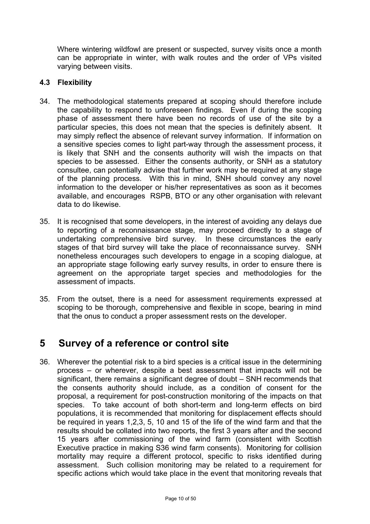<span id="page-9-0"></span>Where wintering wildfowl are present or suspected, survey visits once a month can be appropriate in winter, with walk routes and the order of VPs visited varying between visits.

### **4.3 Flexibility**

- 34. The methodological statements prepared at scoping should therefore include the capability to respond to unforeseen findings. Even if during the scoping phase of assessment there have been no records of use of the site by a particular species, this does not mean that the species is definitely absent. It may simply reflect the absence of relevant survey information. If information on a sensitive species comes to light part-way through the assessment process, it is likely that SNH and the consents authority will wish the impacts on that species to be assessed. Either the consents authority, or SNH as a statutory consultee, can potentially advise that further work may be required at any stage of the planning process. With this in mind, SNH should convey any novel information to the developer or his/her representatives as soon as it becomes available, and encourages RSPB, BTO or any other organisation with relevant data to do likewise.
- 35. It is recognised that some developers, in the interest of avoiding any delays due to reporting of a reconnaissance stage, may proceed directly to a stage of undertaking comprehensive bird survey. In these circumstances the early stages of that bird survey will take the place of reconnaissance survey. SNH nonetheless encourages such developers to engage in a scoping dialogue, at an appropriate stage following early survey results, in order to ensure there is agreement on the appropriate target species and methodologies for the assessment of impacts.
- 35. From the outset, there is a need for assessment requirements expressed at scoping to be thorough, comprehensive and flexible in scope, bearing in mind that the onus to conduct a proper assessment rests on the developer.

## **5 Survey of a reference or control site**

36. Wherever the potential risk to a bird species is a critical issue in the determining process – or wherever, despite a best assessment that impacts will not be significant, there remains a significant degree of doubt – SNH recommends that the consents authority should include, as a condition of consent for the proposal, a requirement for post-construction monitoring of the impacts on that species. To take account of both short-term and long-term effects on bird populations, it is recommended that monitoring for displacement effects should be required in years 1,2,3, 5, 10 and 15 of the life of the wind farm and that the results should be collated into two reports, the first 3 years after and the second 15 years after commissioning of the wind farm (consistent with Scottish Executive practice in making S36 wind farm consents). Monitoring for collision mortality may require a different protocol, specific to risks identified during assessment. Such collision monitoring may be related to a requirement for specific actions which would take place in the event that monitoring reveals that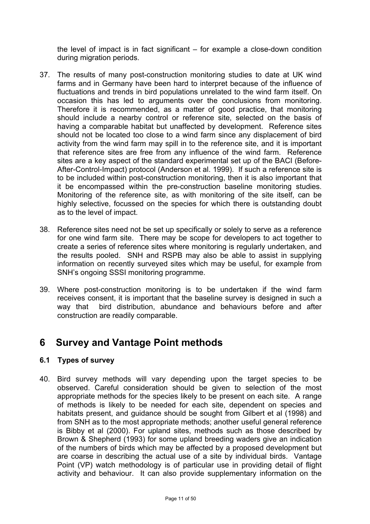<span id="page-10-0"></span>the level of impact is in fact significant – for example a close-down condition during migration periods.

- 37. The results of many post-construction monitoring studies to date at UK wind farms and in Germany have been hard to interpret because of the influence of fluctuations and trends in bird populations unrelated to the wind farm itself. On occasion this has led to arguments over the conclusions from monitoring. Therefore it is recommended, as a matter of good practice, that monitoring should include a nearby control or reference site, selected on the basis of having a comparable habitat but unaffected by development. Reference sites should not be located too close to a wind farm since any displacement of bird activity from the wind farm may spill in to the reference site, and it is important that reference sites are free from any influence of the wind farm. Reference sites are a key aspect of the standard experimental set up of the BACI (Before-After-Control-Impact) protocol (Anderson et al. 1999). If such a reference site is to be included within post-construction monitoring, then it is also important that it be encompassed within the pre-construction baseline monitoring studies. Monitoring of the reference site, as with monitoring of the site itself, can be highly selective, focussed on the species for which there is outstanding doubt as to the level of impact.
- 38. Reference sites need not be set up specifically or solely to serve as a reference for one wind farm site. There may be scope for developers to act together to create a series of reference sites where monitoring is regularly undertaken, and the results pooled. SNH and RSPB may also be able to assist in supplying information on recently surveyed sites which may be useful, for example from SNH's ongoing SSSI monitoring programme.
- 39. Where post-construction monitoring is to be undertaken if the wind farm receives consent, it is important that the baseline survey is designed in such a way that bird distribution, abundance and behaviours before and after construction are readily comparable.

## **6 Survey and Vantage Point methods**

## **6.1 Types of survey**

40. Bird survey methods will vary depending upon the target species to be observed. Careful consideration should be given to selection of the most appropriate methods for the species likely to be present on each site. A range of methods is likely to be needed for each site, dependent on species and habitats present, and guidance should be sought from Gilbert et al (1998) and from SNH as to the most appropriate methods; another useful general reference is Bibby et al (2000). For upland sites, methods such as those described by Brown & Shepherd (1993) for some upland breeding waders give an indication of the numbers of birds which may be affected by a proposed development but are coarse in describing the actual use of a site by individual birds. Vantage Point (VP) watch methodology is of particular use in providing detail of flight activity and behaviour. It can also provide supplementary information on the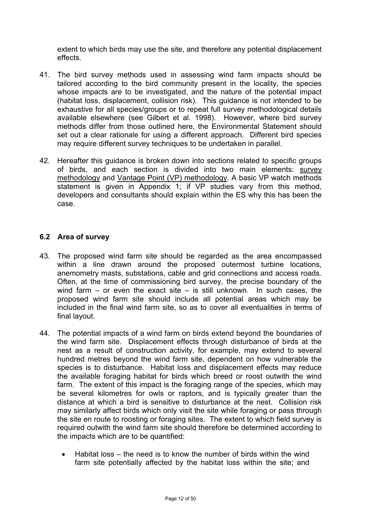<span id="page-11-0"></span>extent to which birds may use the site, and therefore any potential displacement effects.

- 41. The bird survey methods used in assessing wind farm impacts should be tailored according to the bird community present in the locality, the species whose impacts are to be investigated, and the nature of the potential impact (habitat loss, displacement, collision risk). This guidance is not intended to be exhaustive for all species/groups or to repeat full survey methodological details available elsewhere (see Gilbert et al. 1998). However, where bird survey methods differ from those outlined here, the Environmental Statement should set out a clear rationale for using a different approach. Different bird species may require different survey techniques to be undertaken in parallel.
- 42. Hereafter this guidance is broken down into sections related to specific groups of birds, and each section is divided into two main elements: survey methodology and Vantage Point (VP) methodology. A basic VP watch methods statement is given in Appendix 1; if VP studies vary from this method, developers and consultants should explain within the ES why this has been the case.

### **6.2 Area of survey**

- 43. The proposed wind farm site should be regarded as the area encompassed within a line drawn around the proposed outermost turbine locations, anemometry masts, substations, cable and grid connections and access roads. Often, at the time of commissioning bird survey, the precise boundary of the wind farm  $-$  or even the exact site  $-$  is still unknown. In such cases, the proposed wind farm site should include all potential areas which may be included in the final wind farm site, so as to cover all eventualities in terms of final layout.
- 44. The potential impacts of a wind farm on birds extend beyond the boundaries of the wind farm site. Displacement effects through disturbance of birds at the nest as a result of construction activity, for example, may extend to several hundred metres beyond the wind farm site, dependent on how vulnerable the species is to disturbance. Habitat loss and displacement effects may reduce the available foraging habitat for birds which breed or roost outwith the wind farm. The extent of this impact is the foraging range of the species, which may be several kilometres for owls or raptors, and is typically greater than the distance at which a bird is sensitive to disturbance at the nest. Collision risk may similarly affect birds which only visit the site while foraging or pass through the site en route to roosting or foraging sites. The extent to which field survey is required outwith the wind farm site should therefore be determined according to the impacts which are to be quantified:
	- Habitat loss the need is to know the number of birds within the wind farm site potentially affected by the habitat loss within the site; and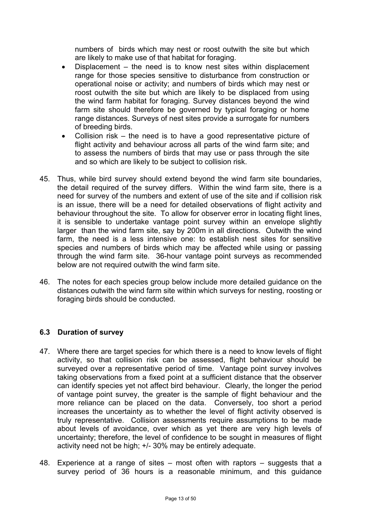<span id="page-12-0"></span>numbers of birds which may nest or roost outwith the site but which are likely to make use of that habitat for foraging.

- Displacement the need is to know nest sites within displacement range for those species sensitive to disturbance from construction or operational noise or activity; and numbers of birds which may nest or roost outwith the site but which are likely to be displaced from using the wind farm habitat for foraging. Survey distances beyond the wind farm site should therefore be governed by typical foraging or home range distances. Surveys of nest sites provide a surrogate for numbers of breeding birds.
- Collision risk the need is to have a good representative picture of flight activity and behaviour across all parts of the wind farm site; and to assess the numbers of birds that may use or pass through the site and so which are likely to be subject to collision risk.
- 45. Thus, while bird survey should extend beyond the wind farm site boundaries, the detail required of the survey differs. Within the wind farm site, there is a need for survey of the numbers and extent of use of the site and if collision risk is an issue, there will be a need for detailed observations of flight activity and behaviour throughout the site. To allow for observer error in locating flight lines, it is sensible to undertake vantage point survey within an envelope slightly larger than the wind farm site, say by 200m in all directions. Outwith the wind farm, the need is a less intensive one: to establish nest sites for sensitive species and numbers of birds which may be affected while using or passing through the wind farm site. 36-hour vantage point surveys as recommended below are not required outwith the wind farm site.
- 46. The notes for each species group below include more detailed guidance on the distances outwith the wind farm site within which surveys for nesting, roosting or foraging birds should be conducted.

## **6.3 Duration of survey**

- 47. Where there are target species for which there is a need to know levels of flight activity, so that collision risk can be assessed, flight behaviour should be surveyed over a representative period of time. Vantage point survey involves taking observations from a fixed point at a sufficient distance that the observer can identify species yet not affect bird behaviour. Clearly, the longer the period of vantage point survey, the greater is the sample of flight behaviour and the more reliance can be placed on the data. Conversely, too short a period increases the uncertainty as to whether the level of flight activity observed is truly representative. Collision assessments require assumptions to be made about levels of avoidance, over which as yet there are very high levels of uncertainty; therefore, the level of confidence to be sought in measures of flight activity need not be high; +/- 30% may be entirely adequate.
- 48. Experience at a range of sites most often with raptors suggests that a survey period of 36 hours is a reasonable minimum, and this guidance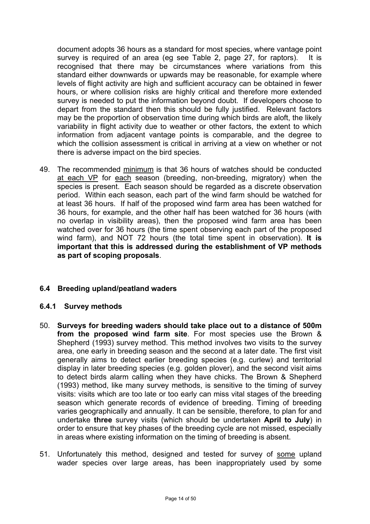<span id="page-13-0"></span>document adopts 36 hours as a standard for most species, where vantage point survey is required of an area (eg see Table 2, page 27, for raptors). It is recognised that there may be circumstances where variations from this standard either downwards or upwards may be reasonable, for example where levels of flight activity are high and sufficient accuracy can be obtained in fewer hours, or where collision risks are highly critical and therefore more extended survey is needed to put the information beyond doubt. If developers choose to depart from the standard then this should be fully justified. Relevant factors may be the proportion of observation time during which birds are aloft, the likely variability in flight activity due to weather or other factors, the extent to which information from adjacent vantage points is comparable, and the degree to which the collision assessment is critical in arriving at a view on whether or not there is adverse impact on the bird species.

49. The recommended minimum is that 36 hours of watches should be conducted at each VP for each season (breeding, non-breeding, migratory) when the species is present. Each season should be regarded as a discrete observation period. Within each season, each part of the wind farm should be watched for at least 36 hours. If half of the proposed wind farm area has been watched for 36 hours, for example, and the other half has been watched for 36 hours (with no overlap in visibility areas), then the proposed wind farm area has been watched over for 36 hours (the time spent observing each part of the proposed wind farm), and NOT 72 hours (the total time spent in observation). **It is important that this is addressed during the establishment of VP methods as part of scoping proposals**.

## **6.4 Breeding upland/peatland waders**

#### **6.4.1 Survey methods**

- 50. **Surveys for breeding waders should take place out to a distance of 500m from the proposed wind farm site**. For most species use the Brown & Shepherd (1993) survey method. This method involves two visits to the survey area, one early in breeding season and the second at a later date. The first visit generally aims to detect earlier breeding species (e.g. curlew) and territorial display in later breeding species (e.g. golden plover), and the second visit aims to detect birds alarm calling when they have chicks. The Brown & Shepherd (1993) method, like many survey methods, is sensitive to the timing of survey visits: visits which are too late or too early can miss vital stages of the breeding season which generate records of evidence of breeding. Timing of breeding varies geographically and annually. It can be sensible, therefore, to plan for and undertake **three** survey visits (which should be undertaken **April to July**) in order to ensure that key phases of the breeding cycle are not missed, especially in areas where existing information on the timing of breeding is absent.
- 51. Unfortunately this method, designed and tested for survey of some upland wader species over large areas, has been inappropriately used by some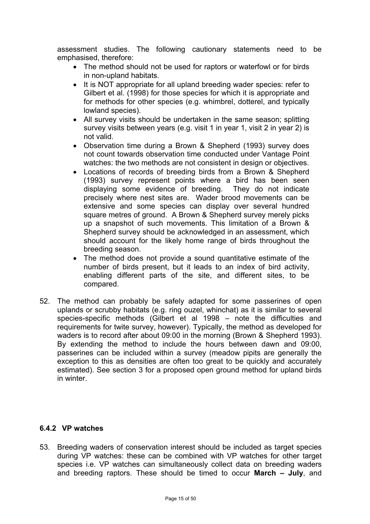assessment studies. The following cautionary statements need to be emphasised, therefore:

- The method should not be used for raptors or waterfowl or for birds in non-upland habitats.
- It is NOT appropriate for all upland breeding wader species: refer to Gilbert et al. (1998) for those species for which it is appropriate and for methods for other species (e.g. whimbrel, dotterel, and typically lowland species).
- All survey visits should be undertaken in the same season; splitting survey visits between years (e.g. visit 1 in year 1, visit 2 in year 2) is not valid.
- Observation time during a Brown & Shepherd (1993) survey does not count towards observation time conducted under Vantage Point watches: the two methods are not consistent in design or objectives.
- Locations of records of breeding birds from a Brown & Shepherd (1993) survey represent points where a bird has been seen displaying some evidence of breeding. They do not indicate precisely where nest sites are. Wader brood movements can be extensive and some species can display over several hundred square metres of ground. A Brown & Shepherd survey merely picks up a snapshot of such movements. This limitation of a Brown & Shepherd survey should be acknowledged in an assessment, which should account for the likely home range of birds throughout the breeding season.
- The method does not provide a sound quantitative estimate of the number of birds present, but it leads to an index of bird activity, enabling different parts of the site, and different sites, to be compared.
- 52. The method can probably be safely adapted for some passerines of open uplands or scrubby habitats (e.g. ring ouzel, whinchat) as it is similar to several species-specific methods (Gilbert et al 1998 – note the difficulties and requirements for twite survey, however). Typically, the method as developed for waders is to record after about 09:00 in the morning (Brown & Shepherd 1993). By extending the method to include the hours between dawn and 09:00, passerines can be included within a survey (meadow pipits are generally the exception to this as densities are often too great to be quickly and accurately estimated). See section 3 for a proposed open ground method for upland birds in winter.

#### **6.4.2 VP watches**

53. Breeding waders of conservation interest should be included as target species during VP watches: these can be combined with VP watches for other target species i.e. VP watches can simultaneously collect data on breeding waders and breeding raptors. These should be timed to occur **March – July**, and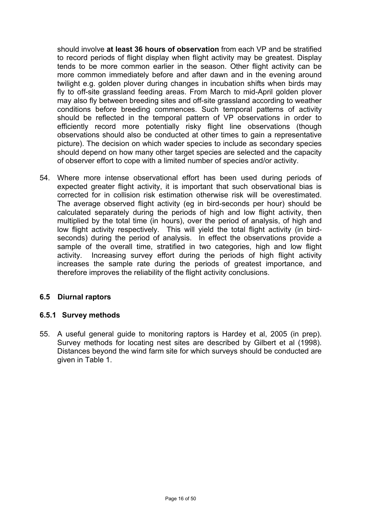<span id="page-15-0"></span>should involve **at least 36 hours of observation** from each VP and be stratified to record periods of flight display when flight activity may be greatest. Display tends to be more common earlier in the season. Other flight activity can be more common immediately before and after dawn and in the evening around twilight e.g. golden plover during changes in incubation shifts when birds may fly to off-site grassland feeding areas. From March to mid-April golden plover may also fly between breeding sites and off-site grassland according to weather conditions before breeding commences. Such temporal patterns of activity should be reflected in the temporal pattern of VP observations in order to efficiently record more potentially risky flight line observations (though observations should also be conducted at other times to gain a representative picture). The decision on which wader species to include as secondary species should depend on how many other target species are selected and the capacity of observer effort to cope with a limited number of species and/or activity.

54. Where more intense observational effort has been used during periods of expected greater flight activity, it is important that such observational bias is corrected for in collision risk estimation otherwise risk will be overestimated. The average observed flight activity (eg in bird-seconds per hour) should be calculated separately during the periods of high and low flight activity, then multiplied by the total time (in hours), over the period of analysis, of high and low flight activity respectively. This will yield the total flight activity (in birdseconds) during the period of analysis. In effect the observations provide a sample of the overall time, stratified in two categories, high and low flight activity. Increasing survey effort during the periods of high flight activity increases the sample rate during the periods of greatest importance, and therefore improves the reliability of the flight activity conclusions.

## **6.5 Diurnal raptors**

#### **6.5.1 Survey methods**

55. A useful general guide to monitoring raptors is Hardey et al, 2005 (in prep). Survey methods for locating nest sites are described by Gilbert et al (1998). Distances beyond the wind farm site for which surveys should be conducted are given in Table 1.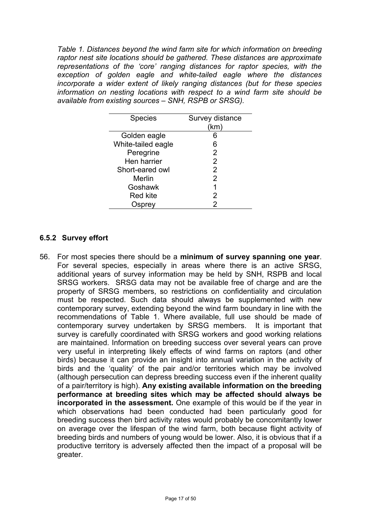*Table 1. Distances beyond the wind farm site for which information on breeding raptor nest site locations should be gathered. These distances are approximate representations of the 'core' ranging distances for raptor species, with the exception of golden eagle and white-tailed eagle where the distances incorporate a wider extent of likely ranging distances (but for these species information on nesting locations with respect to a wind farm site should be available from existing sources – SNH, RSPB or SRSG).* 

| <b>Species</b>     | Survey distance |  |
|--------------------|-----------------|--|
|                    | (km)            |  |
| Golden eagle       | Ⴌ               |  |
| White-tailed eagle | 6               |  |
| Peregrine          | 2               |  |
| Hen harrier        | 2               |  |
| Short-eared owl    | 2               |  |
| Merlin             | 2               |  |
| Goshawk            | 1               |  |
| <b>Red kite</b>    | 2               |  |
| ກev                | 2               |  |

### **6.5.2 Survey effort**

56. For most species there should be a **minimum of survey spanning one year**. For several species, especially in areas where there is an active SRSG, additional years of survey information may be held by SNH, RSPB and local SRSG workers. SRSG data may not be available free of charge and are the property of SRSG members, so restrictions on confidentiality and circulation must be respected. Such data should always be supplemented with new contemporary survey, extending beyond the wind farm boundary in line with the recommendations of Table 1. Where available, full use should be made of contemporary survey undertaken by SRSG members. It is important that survey is carefully coordinated with SRSG workers and good working relations are maintained. Information on breeding success over several years can prove very useful in interpreting likely effects of wind farms on raptors (and other birds) because it can provide an insight into annual variation in the activity of birds and the 'quality' of the pair and/or territories which may be involved (although persecution can depress breeding success even if the inherent quality of a pair/territory is high). **Any existing available information on the breeding performance at breeding sites which may be affected should always be incorporated in the assessment.** One example of this would be if the year in which observations had been conducted had been particularly good for breeding success then bird activity rates would probably be concomitantly lower on average over the lifespan of the wind farm, both because flight activity of breeding birds and numbers of young would be lower. Also, it is obvious that if a productive territory is adversely affected then the impact of a proposal will be greater.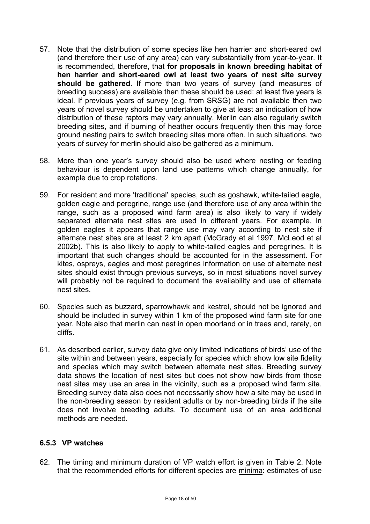- 57. Note that the distribution of some species like hen harrier and short-eared owl (and therefore their use of any area) can vary substantially from year-to-year. It is recommended, therefore, that **for proposals in known breeding habitat of hen harrier and short-eared owl at least two years of nest site survey should be gathered**. If more than two years of survey (and measures of breeding success) are available then these should be used: at least five years is ideal. If previous years of survey (e.g. from SRSG) are not available then two years of novel survey should be undertaken to give at least an indication of how distribution of these raptors may vary annually. Merlin can also regularly switch breeding sites, and if burning of heather occurs frequently then this may force ground nesting pairs to switch breeding sites more often. In such situations, two years of survey for merlin should also be gathered as a minimum.
- 58. More than one year's survey should also be used where nesting or feeding behaviour is dependent upon land use patterns which change annually, for example due to crop rotations.
- 59. For resident and more 'traditional' species, such as goshawk, white-tailed eagle, golden eagle and peregrine, range use (and therefore use of any area within the range, such as a proposed wind farm area) is also likely to vary if widely separated alternate nest sites are used in different years. For example, in golden eagles it appears that range use may vary according to nest site if alternate nest sites are at least 2 km apart (McGrady et al 1997, McLeod et al 2002b). This is also likely to apply to white-tailed eagles and peregrines. It is important that such changes should be accounted for in the assessment. For kites, ospreys, eagles and most peregrines information on use of alternate nest sites should exist through previous surveys, so in most situations novel survey will probably not be required to document the availability and use of alternate nest sites.
- 60. Species such as buzzard, sparrowhawk and kestrel, should not be ignored and should be included in survey within 1 km of the proposed wind farm site for one year. Note also that merlin can nest in open moorland or in trees and, rarely, on cliffs.
- 61. As described earlier, survey data give only limited indications of birds' use of the site within and between years, especially for species which show low site fidelity and species which may switch between alternate nest sites. Breeding survey data shows the location of nest sites but does not show how birds from those nest sites may use an area in the vicinity, such as a proposed wind farm site. Breeding survey data also does not necessarily show how a site may be used in the non-breeding season by resident adults or by non-breeding birds if the site does not involve breeding adults. To document use of an area additional methods are needed.

#### **6.5.3 VP watches**

62. The timing and minimum duration of VP watch effort is given in Table 2. Note that the recommended efforts for different species are minima: estimates of use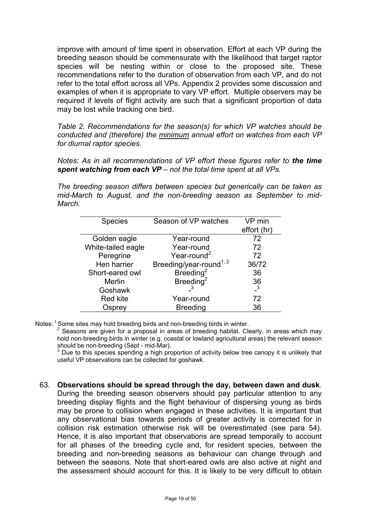improve with amount of time spent in observation. Effort at each VP during the breeding season should be commensurate with the likelihood that target raptor species will be nesting within or close to the proposed site. These recommendations refer to the duration of observation from each VP, and do not refer to the total effort across all VPs. Appendix 2 provides some discussion and examples of when it is appropriate to vary VP effort. Multiple observers may be required if levels of flight activity are such that a significant proportion of data may be lost while tracking one bird.

*Table 2. Recommendations for the season(s) for which VP watches should be conducted and (therefore) the minimum annual effort on watches from each VP for diurnal raptor species.* 

*Notes: As in all recommendations of VP effort these figures refer to the time spent watching from each VP – not the total time spent at all VPs.* 

*The breeding season differs between species but generically can be taken as mid-March to August, and the non-breeding season as September to mid-March.* 

| <b>Species</b>     | Season of VP watches                | VP min<br>effort (hr) |
|--------------------|-------------------------------------|-----------------------|
| Golden eagle       | Year-round                          | 72                    |
| White-tailed eagle | Year-round                          | 72                    |
| Peregrine          | Year-round <sup>2</sup>             | 72                    |
| Hen harrier        | Breeding/year-round <sup>1, 2</sup> | 36/72                 |
| Short-eared owl    | Breeding <sup>2</sup>               | 36                    |
| Merlin             | Breeding <sup>2</sup>               | $\frac{36}{13}$       |
| Goshawk            | 3                                   |                       |
| Red kite           | Year-round                          | 72                    |
| Osprey             | <b>Breeding</b>                     | 36                    |

Notes: <sup>1</sup> Some sites may hold breeding birds and non-breeding birds in winter.

 $2$  Seasons are given for a proposal in areas of breeding habitat. Clearly, in areas which may hold non-breeding birds in winter (e.g. coastal or lowland agricultural areas) the relevant season should be non-breeding (Sept - mid-Mar).

 Due to this species spending a high proportion of activity below tree canopy it is unlikely that useful VP observations can be collected for goshawk.

63. **Observations should be spread through the day, between dawn and dusk**. During the breeding season observers should pay particular attention to any breeding display flights and the flight behaviour of dispersing young as birds may be prone to collision when engaged in these activities. It is important that any observational bias towards periods of greater activity is corrected for in collision risk estimation otherwise risk will be overestimated (see para 54). Hence, it is also important that observations are spread temporally to account for all phases of the breeding cycle and, for resident species, between the breeding and non-breeding seasons as behaviour can change through and between the seasons. Note that short-eared owls are also active at night and the assessment should account for this. It is likely to be very difficult to obtain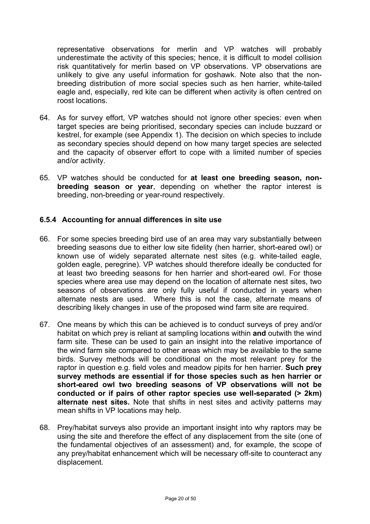representative observations for merlin and VP watches will probably underestimate the activity of this species; hence, it is difficult to model collision risk quantitatively for merlin based on VP observations. VP observations are unlikely to give any useful information for goshawk. Note also that the nonbreeding distribution of more social species such as hen harrier, white-tailed eagle and, especially, red kite can be different when activity is often centred on roost locations.

- 64. As for survey effort, VP watches should not ignore other species: even when target species are being prioritised, secondary species can include buzzard or kestrel, for example (see Appendix 1). The decision on which species to include as secondary species should depend on how many target species are selected and the capacity of observer effort to cope with a limited number of species and/or activity.
- 65. VP watches should be conducted for **at least one breeding season, nonbreeding season or year**, depending on whether the raptor interest is breeding, non-breeding or year-round respectively.

#### **6.5.4 Accounting for annual differences in site use**

- 66. For some species breeding bird use of an area may vary substantially between breeding seasons due to either low site fidelity (hen harrier, short-eared owl) or known use of widely separated alternate nest sites (e.g. white-tailed eagle, golden eagle, peregrine). VP watches should therefore ideally be conducted for at least two breeding seasons for hen harrier and short-eared owl. For those species where area use may depend on the location of alternate nest sites, two seasons of observations are only fully useful if conducted in years when alternate nests are used. Where this is not the case, alternate means of describing likely changes in use of the proposed wind farm site are required.
- 67. One means by which this can be achieved is to conduct surveys of prey and/or habitat on which prey is reliant at sampling locations within **and** outwith the wind farm site. These can be used to gain an insight into the relative importance of the wind farm site compared to other areas which may be available to the same birds. Survey methods will be conditional on the most relevant prey for the raptor in question e.g. field voles and meadow pipits for hen harrier. **Such prey survey methods are essential if for those species such as hen harrier or short-eared owl two breeding seasons of VP observations will not be conducted or if pairs of other raptor species use well-separated (> 2km) alternate nest sites.** Note that shifts in nest sites and activity patterns may mean shifts in VP locations may help.
- 68. Prey/habitat surveys also provide an important insight into why raptors may be using the site and therefore the effect of any displacement from the site (one of the fundamental objectives of an assessment) and, for example, the scope of any prey/habitat enhancement which will be necessary off-site to counteract any displacement.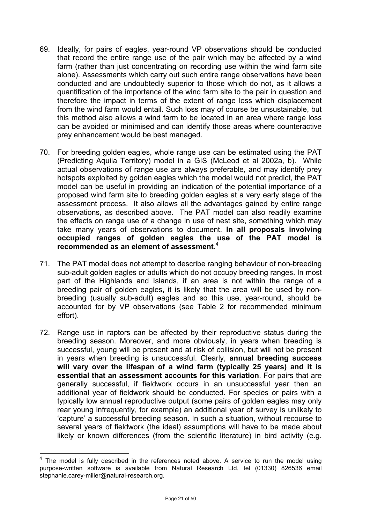- 69. Ideally, for pairs of eagles, year-round VP observations should be conducted that record the entire range use of the pair which may be affected by a wind farm (rather than just concentrating on recording use within the wind farm site alone). Assessments which carry out such entire range observations have been conducted and are undoubtedly superior to those which do not, as it allows a quantification of the importance of the wind farm site to the pair in question and therefore the impact in terms of the extent of range loss which displacement from the wind farm would entail. Such loss may of course be unsustainable, but this method also allows a wind farm to be located in an area where range loss can be avoided or minimised and can identify those areas where counteractive prey enhancement would be best managed.
- 70. For breeding golden eagles, whole range use can be estimated using the PAT (Predicting Aquila Territory) model in a GIS (McLeod et al 2002a, b). While actual observations of range use are always preferable, and may identify prey hotspots exploited by golden eagles which the model would not predict, the PAT model can be useful in providing an indication of the potential importance of a proposed wind farm site to breeding golden eagles at a very early stage of the assessment process. It also allows all the advantages gained by entire range observations, as described above. The PAT model can also readily examine the effects on range use of a change in use of nest site, something which may take many years of observations to document. **In all proposals involving occupied ranges of golden eagles the use of the PAT model is recommended as an element of assessment**. [4](#page-20-0)
- 71. The PAT model does not attempt to describe ranging behaviour of non-breeding sub-adult golden eagles or adults which do not occupy breeding ranges. In most part of the Highlands and Islands, if an area is not within the range of a breeding pair of golden eagles, it is likely that the area will be used by nonbreeding (usually sub-adult) eagles and so this use, year-round, should be accounted for by VP observations (see Table 2 for recommended minimum effort).
- 72. Range use in raptors can be affected by their reproductive status during the breeding season. Moreover, and more obviously, in years when breeding is successful, young will be present and at risk of collision, but will not be present in years when breeding is unsuccessful. Clearly, **annual breeding success will vary over the lifespan of a wind farm (typically 25 years) and it is essential that an assessment accounts for this variation**. For pairs that are generally successful, if fieldwork occurs in an unsuccessful year then an additional year of fieldwork should be conducted. For species or pairs with a typically low annual reproductive output (some pairs of golden eagles may only rear young infrequently, for example) an additional year of survey is unlikely to 'capture' a successful breeding season. In such a situation, without recourse to several years of fieldwork (the ideal) assumptions will have to be made about likely or known differences (from the scientific literature) in bird activity (e.g.

<span id="page-20-0"></span>The model is fully described in the references noted above. A service to run the model using purpose-written software is available from Natural Research Ltd, tel (01330) 826536 email stephanie.carey-miller@natural-research.org.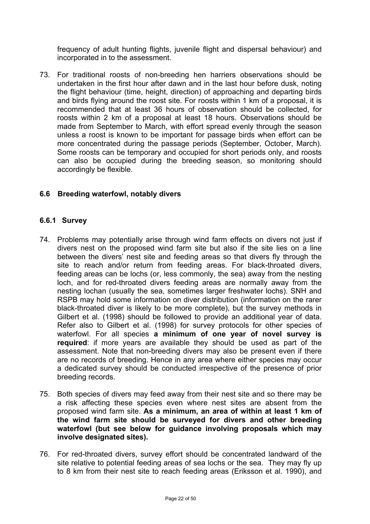<span id="page-21-0"></span>frequency of adult hunting flights, juvenile flight and dispersal behaviour) and incorporated in to the assessment.

73. For traditional roosts of non-breeding hen harriers observations should be undertaken in the first hour after dawn and in the last hour before dusk, noting the flight behaviour (time, height, direction) of approaching and departing birds and birds flying around the roost site. For roosts within 1 km of a proposal, it is recommended that at least 36 hours of observation should be collected, for roosts within 2 km of a proposal at least 18 hours. Observations should be made from September to March, with effort spread evenly through the season unless a roost is known to be important for passage birds when effort can be more concentrated during the passage periods (September, October, March). Some roosts can be temporary and occupied for short periods only, and roosts can also be occupied during the breeding season, so monitoring should accordingly be flexible.

### **6.6 Breeding waterfowl, notably divers**

#### **6.6.1 Survey**

- 74. Problems may potentially arise through wind farm effects on divers not just if divers nest on the proposed wind farm site but also if the site lies on a line between the divers' nest site and feeding areas so that divers fly through the site to reach and/or return from feeding areas. For black-throated divers, feeding areas can be lochs (or, less commonly, the sea) away from the nesting loch, and for red-throated divers feeding areas are normally away from the nesting lochan (usually the sea, sometimes larger freshwater lochs). SNH and RSPB may hold some information on diver distribution (information on the rarer black-throated diver is likely to be more complete), but the survey methods in Gilbert et al. (1998) should be followed to provide an additional year of data. Refer also to Gilbert et al. (1998) for survey protocols for other species of waterfowl. For all species **a minimum of one year of novel survey is required**: if more years are available they should be used as part of the assessment. Note that non-breeding divers may also be present even if there are no records of breeding. Hence in any area where either species may occur a dedicated survey should be conducted irrespective of the presence of prior breeding records.
- 75. Both species of divers may feed away from their nest site and so there may be a risk affecting these species even where nest sites are absent from the proposed wind farm site. **As a minimum, an area of within at least 1 km of the wind farm site should be surveyed for divers and other breeding waterfowl (but see below for guidance involving proposals which may involve designated sites).**
- 76. For red-throated divers, survey effort should be concentrated landward of the site relative to potential feeding areas of sea lochs or the sea. They may fly up to 8 km from their nest site to reach feeding areas (Eriksson et al. 1990), and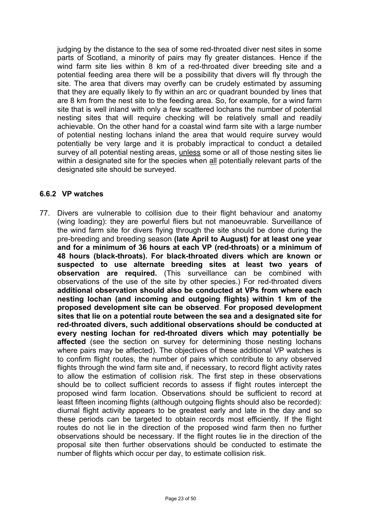judging by the distance to the sea of some red-throated diver nest sites in some parts of Scotland, a minority of pairs may fly greater distances. Hence if the wind farm site lies within 8 km of a red-throated diver breeding site and a potential feeding area there will be a possibility that divers will fly through the site. The area that divers may overfly can be crudely estimated by assuming that they are equally likely to fly within an arc or quadrant bounded by lines that are 8 km from the nest site to the feeding area. So, for example, for a wind farm site that is well inland with only a few scattered lochans the number of potential nesting sites that will require checking will be relatively small and readily achievable. On the other hand for a coastal wind farm site with a large number of potential nesting lochans inland the area that would require survey would potentially be very large and it is probably impractical to conduct a detailed survey of all potential nesting areas, unless some or all of those nesting sites lie within a designated site for the species when all potentially relevant parts of the designated site should be surveyed.

### **6.6.2 VP watches**

77. Divers are vulnerable to collision due to their flight behaviour and anatomy (wing loading): they are powerful fliers but not manoeuvrable. Surveillance of the wind farm site for divers flying through the site should be done during the pre-breeding and breeding season **(late April to August) for at least one year and for a minimum of 36 hours at each VP (red-throats) or a minimum of 48 hours (black-throats). For black-throated divers which are known or suspected to use alternate breeding sites at least two years of observation are required.** (This surveillance can be combined with observations of the use of the site by other species.) For red-throated divers **additional observation should also be conducted at VPs from where each nesting lochan (and incoming and outgoing flights) within 1 km of the proposed development site can be observed**. **For proposed development sites that lie on a potential route between the sea and a designated site for red-throated divers, such additional observations should be conducted at every nesting lochan for red-throated divers which may potentially be**  affected (see the section on survey for determining those nesting lochans where pairs may be affected). The objectives of these additional VP watches is to confirm flight routes, the number of pairs which contribute to any observed flights through the wind farm site and, if necessary, to record flight activity rates to allow the estimation of collision risk. The first step in these observations should be to collect sufficient records to assess if flight routes intercept the proposed wind farm location. Observations should be sufficient to record at least fifteen incoming flights (although outgoing flights should also be recorded): diurnal flight activity appears to be greatest early and late in the day and so these periods can be targeted to obtain records most efficiently. If the flight routes do not lie in the direction of the proposed wind farm then no further observations should be necessary. If the flight routes lie in the direction of the proposal site then further observations should be conducted to estimate the number of flights which occur per day, to estimate collision risk.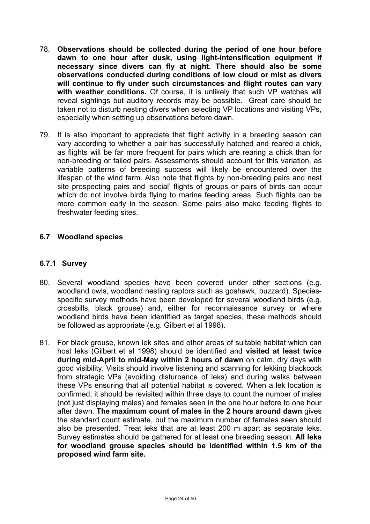- <span id="page-23-0"></span>78. **Observations should be collected during the period of one hour before dawn to one hour after dusk, using light-intensification equipment if necessary since divers can fly at night. There should also be some observations conducted during conditions of low cloud or mist as divers will continue to fly under such circumstances and flight routes can vary with weather conditions.** Of course, it is unlikely that such VP watches will reveal sightings but auditory records may be possible. Great care should be taken not to disturb nesting divers when selecting VP locations and visiting VPs, especially when setting up observations before dawn.
- 79. It is also important to appreciate that flight activity in a breeding season can vary according to whether a pair has successfully hatched and reared a chick, as flights will be far more frequent for pairs which are rearing a chick than for non-breeding or failed pairs. Assessments should account for this variation, as variable patterns of breeding success will likely be encountered over the lifespan of the wind farm. Also note that flights by non-breeding pairs and nest site prospecting pairs and 'social' flights of groups or pairs of birds can occur which do not involve birds flying to marine feeding areas. Such flights can be more common early in the season. Some pairs also make feeding flights to freshwater feeding sites.

### **6.7 Woodland species**

#### **6.7.1 Survey**

- 80. Several woodland species have been covered under other sections (e.g. woodland owls, woodland nesting raptors such as goshawk, buzzard). Speciesspecific survey methods have been developed for several woodland birds (e.g. crossbills, black grouse) and, either for reconnaissance survey or where woodland birds have been identified as target species, these methods should be followed as appropriate (e.g. Gilbert et al 1998).
- 81. For black grouse, known lek sites and other areas of suitable habitat which can host leks (Gilbert et al 1998) should be identified and **visited at least twice during mid-April to mid-May within 2 hours of dawn** on calm, dry days with good visibility. Visits should involve listening and scanning for lekking blackcock from strategic VPs (avoiding disturbance of leks) and during walks between these VPs ensuring that all potential habitat is covered. When a lek location is confirmed, it should be revisited within three days to count the number of males (not just displaying males) and females seen in the one hour before to one hour after dawn. **The maximum count of males in the 2 hours around dawn** gives the standard count estimate, but the maximum number of females seen should also be presented. Treat leks that are at least 200 m apart as separate leks. Survey estimates should be gathered for at least one breeding season. **All leks for woodland grouse species should be identified within 1.5 km of the proposed wind farm site.**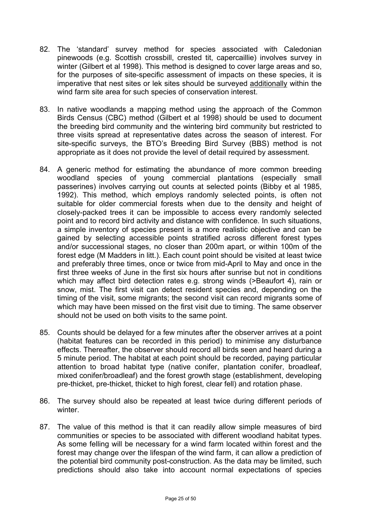- 82. The 'standard' survey method for species associated with Caledonian pinewoods (e.g. Scottish crossbill, crested tit, capercaillie) involves survey in winter (Gilbert et al 1998). This method is designed to cover large areas and so, for the purposes of site-specific assessment of impacts on these species, it is imperative that nest sites or lek sites should be surveyed additionally within the wind farm site area for such species of conservation interest.
- 83. In native woodlands a mapping method using the approach of the Common Birds Census (CBC) method (Gilbert et al 1998) should be used to document the breeding bird community and the wintering bird community but restricted to three visits spread at representative dates across the season of interest. For site-specific surveys, the BTO's Breeding Bird Survey (BBS) method is not appropriate as it does not provide the level of detail required by assessment.
- 84. A generic method for estimating the abundance of more common breeding woodland species of young commercial plantations (especially small passerines) involves carrying out counts at selected points (Bibby et al 1985, 1992). This method, which employs randomly selected points, is often not suitable for older commercial forests when due to the density and height of closely-packed trees it can be impossible to access every randomly selected point and to record bird activity and distance with confidence. In such situations, a simple inventory of species present is a more realistic objective and can be gained by selecting accessible points stratified across different forest types and/or successional stages, no closer than 200m apart, or within 100m of the forest edge (M Madders in litt.). Each count point should be visited at least twice and preferably three times, once or twice from mid-April to May and once in the first three weeks of June in the first six hours after sunrise but not in conditions which may affect bird detection rates e.g. strong winds (>Beaufort 4), rain or snow, mist. The first visit can detect resident species and, depending on the timing of the visit, some migrants; the second visit can record migrants some of which may have been missed on the first visit due to timing. The same observer should not be used on both visits to the same point.
- 85. Counts should be delayed for a few minutes after the observer arrives at a point (habitat features can be recorded in this period) to minimise any disturbance effects. Thereafter, the observer should record all birds seen and heard during a 5 minute period. The habitat at each point should be recorded, paying particular attention to broad habitat type (native conifer, plantation conifer, broadleaf, mixed conifer/broadleaf) and the forest growth stage (establishment, developing pre-thicket, pre-thicket, thicket to high forest, clear fell) and rotation phase.
- 86. The survey should also be repeated at least twice during different periods of winter.
- 87. The value of this method is that it can readily allow simple measures of bird communities or species to be associated with different woodland habitat types. As some felling will be necessary for a wind farm located within forest and the forest may change over the lifespan of the wind farm, it can allow a prediction of the potential bird community post-construction. As the data may be limited, such predictions should also take into account normal expectations of species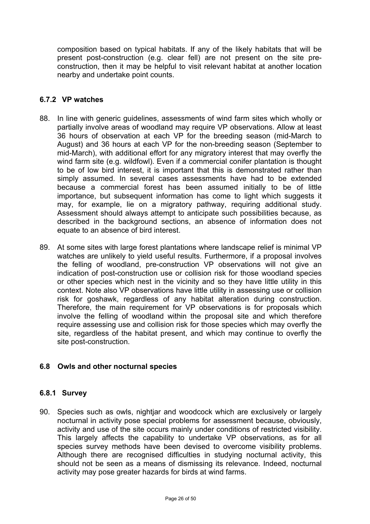<span id="page-25-0"></span>composition based on typical habitats. If any of the likely habitats that will be present post-construction (e.g. clear fell) are not present on the site preconstruction, then it may be helpful to visit relevant habitat at another location nearby and undertake point counts.

### **6.7.2 VP watches**

- 88. In line with generic guidelines, assessments of wind farm sites which wholly or partially involve areas of woodland may require VP observations. Allow at least 36 hours of observation at each VP for the breeding season (mid-March to August) and 36 hours at each VP for the non-breeding season (September to mid-March), with additional effort for any migratory interest that may overfly the wind farm site (e.g. wildfowl). Even if a commercial conifer plantation is thought to be of low bird interest, it is important that this is demonstrated rather than simply assumed. In several cases assessments have had to be extended because a commercial forest has been assumed initially to be of little importance, but subsequent information has come to light which suggests it may, for example, lie on a migratory pathway, requiring additional study. Assessment should always attempt to anticipate such possibilities because, as described in the background sections, an absence of information does not equate to an absence of bird interest.
- 89. At some sites with large forest plantations where landscape relief is minimal VP watches are unlikely to yield useful results. Furthermore, if a proposal involves the felling of woodland, pre-construction VP observations will not give an indication of post-construction use or collision risk for those woodland species or other species which nest in the vicinity and so they have little utility in this context. Note also VP observations have little utility in assessing use or collision risk for goshawk, regardless of any habitat alteration during construction. Therefore, the main requirement for VP observations is for proposals which involve the felling of woodland within the proposal site and which therefore require assessing use and collision risk for those species which may overfly the site, regardless of the habitat present, and which may continue to overfly the site post-construction.

#### **6.8 Owls and other nocturnal species**

#### **6.8.1 Survey**

90. Species such as owls, nightjar and woodcock which are exclusively or largely nocturnal in activity pose special problems for assessment because, obviously, activity and use of the site occurs mainly under conditions of restricted visibility. This largely affects the capability to undertake VP observations, as for all species survey methods have been devised to overcome visibility problems. Although there are recognised difficulties in studying nocturnal activity, this should not be seen as a means of dismissing its relevance. Indeed, nocturnal activity may pose greater hazards for birds at wind farms.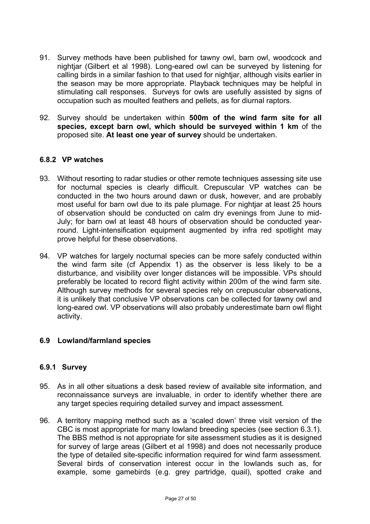- <span id="page-26-0"></span>91. Survey methods have been published for tawny owl, barn owl, woodcock and nightjar (Gilbert et al 1998). Long-eared owl can be surveyed by listening for calling birds in a similar fashion to that used for nightjar, although visits earlier in the season may be more appropriate. Playback techniques may be helpful in stimulating call responses. Surveys for owls are usefully assisted by signs of occupation such as moulted feathers and pellets, as for diurnal raptors.
- 92. Survey should be undertaken within **500m of the wind farm site for all species, except barn owl, which should be surveyed within 1 km** of the proposed site. **At least one year of survey** should be undertaken.

### **6.8.2 VP watches**

- 93. Without resorting to radar studies or other remote techniques assessing site use for nocturnal species is clearly difficult. Crepuscular VP watches can be conducted in the two hours around dawn or dusk, however, and are probably most useful for barn owl due to its pale plumage. For nightjar at least 25 hours of observation should be conducted on calm dry evenings from June to mid-July; for barn owl at least 48 hours of observation should be conducted yearround. Light-intensification equipment augmented by infra red spotlight may prove helpful for these observations.
- 94. VP watches for largely nocturnal species can be more safely conducted within the wind farm site (cf Appendix 1) as the observer is less likely to be a disturbance, and visibility over longer distances will be impossible. VPs should preferably be located to record flight activity within 200m of the wind farm site. Although survey methods for several species rely on crepuscular observations, it is unlikely that conclusive VP observations can be collected for tawny owl and long-eared owl. VP observations will also probably underestimate barn owl flight activity.

#### **6.9 Lowland/farmland species**

#### **6.9.1 Survey**

- 95. As in all other situations a desk based review of available site information, and reconnaissance surveys are invaluable, in order to identify whether there are any target species requiring detailed survey and impact assessment.
- 96. A territory mapping method such as a 'scaled down' three visit version of the CBC is most appropriate for many lowland breeding species (see section 6.3.1). The BBS method is not appropriate for site assessment studies as it is designed for survey of large areas (Gilbert et al 1998) and does not necessarily produce the type of detailed site-specific information required for wind farm assessment. Several birds of conservation interest occur in the lowlands such as, for example, some gamebirds (e.g. grey partridge, quail), spotted crake and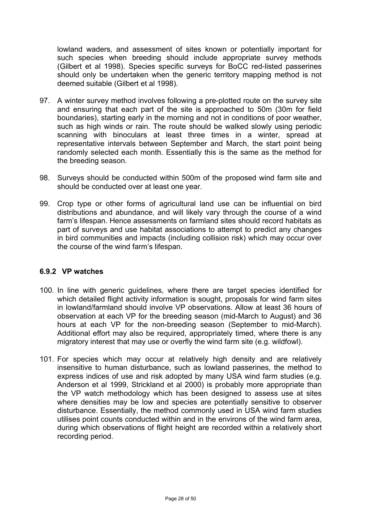lowland waders, and assessment of sites known or potentially important for such species when breeding should include appropriate survey methods (Gilbert et al 1998). Species specific surveys for BoCC red-listed passerines should only be undertaken when the generic territory mapping method is not deemed suitable (Gilbert et al 1998).

- 97. A winter survey method involves following a pre-plotted route on the survey site and ensuring that each part of the site is approached to 50m (30m for field boundaries), starting early in the morning and not in conditions of poor weather, such as high winds or rain. The route should be walked slowly using periodic scanning with binoculars at least three times in a winter, spread at representative intervals between September and March, the start point being randomly selected each month. Essentially this is the same as the method for the breeding season.
- 98. Surveys should be conducted within 500m of the proposed wind farm site and should be conducted over at least one year.
- 99. Crop type or other forms of agricultural land use can be influential on bird distributions and abundance, and will likely vary through the course of a wind farm's lifespan. Hence assessments on farmland sites should record habitats as part of surveys and use habitat associations to attempt to predict any changes in bird communities and impacts (including collision risk) which may occur over the course of the wind farm's lifespan.

#### **6.9.2 VP watches**

- 100. In line with generic guidelines, where there are target species identified for which detailed flight activity information is sought, proposals for wind farm sites in lowland/farmland should involve VP observations. Allow at least 36 hours of observation at each VP for the breeding season (mid-March to August) and 36 hours at each VP for the non-breeding season (September to mid-March). Additional effort may also be required, appropriately timed, where there is any migratory interest that may use or overfly the wind farm site (e.g. wildfowl).
- 101. For species which may occur at relatively high density and are relatively insensitive to human disturbance, such as lowland passerines, the method to express indices of use and risk adopted by many USA wind farm studies (e.g. Anderson et al 1999, Strickland et al 2000) is probably more appropriate than the VP watch methodology which has been designed to assess use at sites where densities may be low and species are potentially sensitive to observer disturbance. Essentially, the method commonly used in USA wind farm studies utilises point counts conducted within and in the environs of the wind farm area, during which observations of flight height are recorded within a relatively short recording period.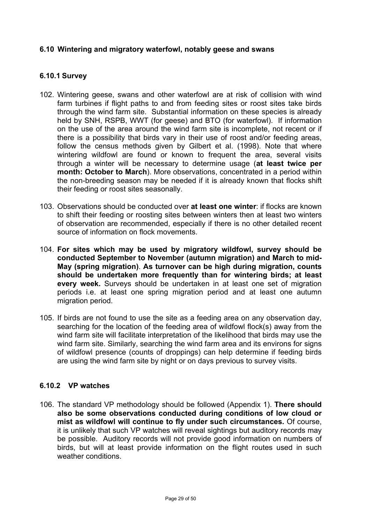### <span id="page-28-0"></span>**6.10 Wintering and migratory waterfowl, notably geese and swans**

### **6.10.1 Survey**

- 102. Wintering geese, swans and other waterfowl are at risk of collision with wind farm turbines if flight paths to and from feeding sites or roost sites take birds through the wind farm site. Substantial information on these species is already held by SNH, RSPB, WWT (for geese) and BTO (for waterfowl). If information on the use of the area around the wind farm site is incomplete, not recent or if there is a possibility that birds vary in their use of roost and/or feeding areas, follow the census methods given by Gilbert et al. (1998). Note that where wintering wildfowl are found or known to frequent the area, several visits through a winter will be necessary to determine usage (**at least twice per month: October to March**). More observations, concentrated in a period within the non-breeding season may be needed if it is already known that flocks shift their feeding or roost sites seasonally.
- 103. Observations should be conducted over **at least one winter**: if flocks are known to shift their feeding or roosting sites between winters then at least two winters of observation are recommended, especially if there is no other detailed recent source of information on flock movements.
- 104. **For sites which may be used by migratory wildfowl, survey should be conducted September to November (autumn migration) and March to mid-May (spring migration)**. **As turnover can be high during migration, counts should be undertaken more frequently than for wintering birds; at least every week.** Surveys should be undertaken in at least one set of migration periods i.e. at least one spring migration period and at least one autumn migration period.
- 105. If birds are not found to use the site as a feeding area on any observation day, searching for the location of the feeding area of wildfowl flock(s) away from the wind farm site will facilitate interpretation of the likelihood that birds may use the wind farm site. Similarly, searching the wind farm area and its environs for signs of wildfowl presence (counts of droppings) can help determine if feeding birds are using the wind farm site by night or on days previous to survey visits.

#### **6.10.2 VP watches**

106. The standard VP methodology should be followed (Appendix 1). **There should also be some observations conducted during conditions of low cloud or mist as wildfowl will continue to fly under such circumstances.** Of course, it is unlikely that such VP watches will reveal sightings but auditory records may be possible. Auditory records will not provide good information on numbers of birds, but will at least provide information on the flight routes used in such weather conditions.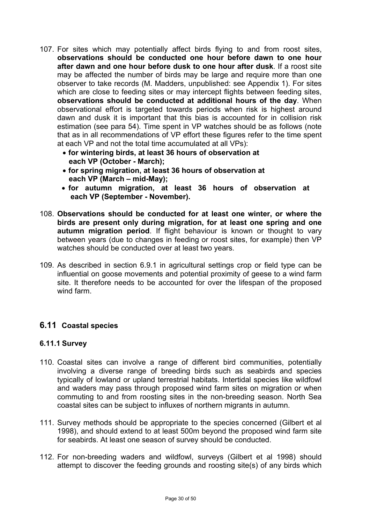- <span id="page-29-0"></span>107. For sites which may potentially affect birds flying to and from roost sites, **observations should be conducted one hour before dawn to one hour after dawn and one hour before dusk to one hour after dusk**. If a roost site may be affected the number of birds may be large and require more than one observer to take records (M. Madders, unpublished: see Appendix 1). For sites which are close to feeding sites or may intercept flights between feeding sites, **observations should be conducted at additional hours of the day**. When observational effort is targeted towards periods when risk is highest around dawn and dusk it is important that this bias is accounted for in collision risk estimation (see para 54). Time spent in VP watches should be as follows (note that as in all recommendations of VP effort these figures refer to the time spent at each VP and not the total time accumulated at all VPs):
	- **for wintering birds, at least 36 hours of observation at each VP (October - March);**
	- **for spring migration, at least 36 hours of observation at each VP (March – mid-May);**
	- **for autumn migration, at least 36 hours of observation at each VP (September - November).**
- 108. **Observations should be conducted for at least one winter, or where the birds are present only during migration, for at least one spring and one autumn migration period**. If flight behaviour is known or thought to vary between years (due to changes in feeding or roost sites, for example) then VP watches should be conducted over at least two years.
- 109. As described in section 6.9.1 in agricultural settings crop or field type can be influential on goose movements and potential proximity of geese to a wind farm site. It therefore needs to be accounted for over the lifespan of the proposed wind farm.

## **6.11 Coastal species**

## **6.11.1 Survey**

- 110. Coastal sites can involve a range of different bird communities, potentially involving a diverse range of breeding birds such as seabirds and species typically of lowland or upland terrestrial habitats. Intertidal species like wildfowl and waders may pass through proposed wind farm sites on migration or when commuting to and from roosting sites in the non-breeding season. North Sea coastal sites can be subject to influxes of northern migrants in autumn.
- 111. Survey methods should be appropriate to the species concerned (Gilbert et al 1998), and should extend to at least 500m beyond the proposed wind farm site for seabirds. At least one season of survey should be conducted.
- 112. For non-breeding waders and wildfowl, surveys (Gilbert et al 1998) should attempt to discover the feeding grounds and roosting site(s) of any birds which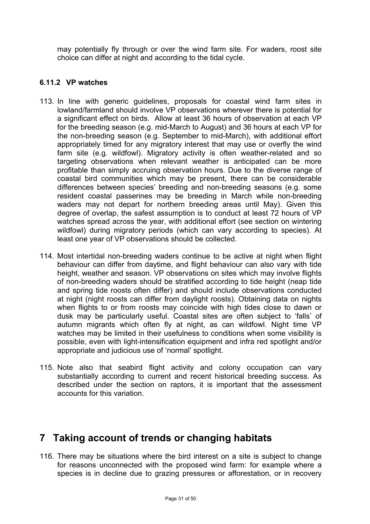<span id="page-30-0"></span>may potentially fly through or over the wind farm site. For waders, roost site choice can differ at night and according to the tidal cycle.

### **6.11.2 VP watches**

- 113. In line with generic guidelines, proposals for coastal wind farm sites in lowland/farmland should involve VP observations wherever there is potential for a significant effect on birds. Allow at least 36 hours of observation at each VP for the breeding season (e.g. mid-March to August) and 36 hours at each VP for the non-breeding season (e.g. September to mid-March), with additional effort appropriately timed for any migratory interest that may use or overfly the wind farm site (e.g. wildfowl). Migratory activity is often weather-related and so targeting observations when relevant weather is anticipated can be more profitable than simply accruing observation hours. Due to the diverse range of coastal bird communities which may be present, there can be considerable differences between species' breeding and non-breeding seasons (e.g. some resident coastal passerines may be breeding in March while non-breeding waders may not depart for northern breeding areas until May). Given this degree of overlap, the safest assumption is to conduct at least 72 hours of VP watches spread across the year, with additional effort (see section on wintering wildfowl) during migratory periods (which can vary according to species). At least one year of VP observations should be collected.
- 114. Most intertidal non-breeding waders continue to be active at night when flight behaviour can differ from daytime, and flight behaviour can also vary with tide height, weather and season. VP observations on sites which may involve flights of non-breeding waders should be stratified according to tide height (neap tide and spring tide roosts often differ) and should include observations conducted at night (night roosts can differ from daylight roosts). Obtaining data on nights when flights to or from roosts may coincide with high tides close to dawn or dusk may be particularly useful. Coastal sites are often subject to 'falls' of autumn migrants which often fly at night, as can wildfowl. Night time VP watches may be limited in their usefulness to conditions when some visibility is possible, even with light-intensification equipment and infra red spotlight and/or appropriate and judicious use of 'normal' spotlight.
- 115. Note also that seabird flight activity and colony occupation can vary substantially according to current and recent historical breeding success. As described under the section on raptors, it is important that the assessment accounts for this variation.

## **7 Taking account of trends or changing habitats**

116. There may be situations where the bird interest on a site is subject to change for reasons unconnected with the proposed wind farm: for example where a species is in decline due to grazing pressures or afforestation, or in recovery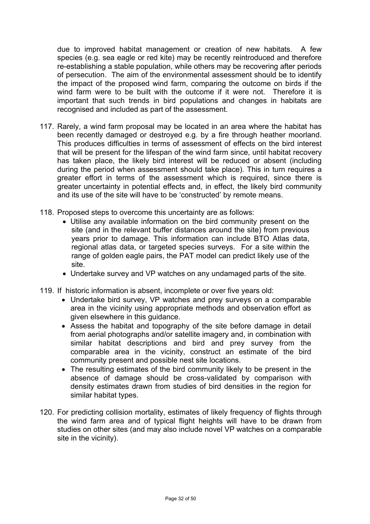due to improved habitat management or creation of new habitats. A few species (e.g. sea eagle or red kite) may be recently reintroduced and therefore re-establishing a stable population, while others may be recovering after periods of persecution. The aim of the environmental assessment should be to identify the impact of the proposed wind farm, comparing the outcome on birds if the wind farm were to be built with the outcome if it were not. Therefore it is important that such trends in bird populations and changes in habitats are recognised and included as part of the assessment.

- 117. Rarely, a wind farm proposal may be located in an area where the habitat has been recently damaged or destroyed e.g. by a fire through heather moorland. This produces difficulties in terms of assessment of effects on the bird interest that will be present for the lifespan of the wind farm since, until habitat recovery has taken place, the likely bird interest will be reduced or absent (including during the period when assessment should take place). This in turn requires a greater effort in terms of the assessment which is required, since there is greater uncertainty in potential effects and, in effect, the likely bird community and its use of the site will have to be 'constructed' by remote means.
- 118. Proposed steps to overcome this uncertainty are as follows:
	- Utilise any available information on the bird community present on the site (and in the relevant buffer distances around the site) from previous years prior to damage. This information can include BTO Atlas data, regional atlas data, or targeted species surveys. For a site within the range of golden eagle pairs, the PAT model can predict likely use of the site.
	- Undertake survey and VP watches on any undamaged parts of the site.
- 119. If historic information is absent, incomplete or over five years old:
	- Undertake bird survey, VP watches and prey surveys on a comparable area in the vicinity using appropriate methods and observation effort as given elsewhere in this guidance.
	- Assess the habitat and topography of the site before damage in detail from aerial photographs and/or satellite imagery and, in combination with similar habitat descriptions and bird and prey survey from the comparable area in the vicinity, construct an estimate of the bird community present and possible nest site locations.
	- The resulting estimates of the bird community likely to be present in the absence of damage should be cross-validated by comparison with density estimates drawn from studies of bird densities in the region for similar habitat types.
- 120. For predicting collision mortality, estimates of likely frequency of flights through the wind farm area and of typical flight heights will have to be drawn from studies on other sites (and may also include novel VP watches on a comparable site in the vicinity).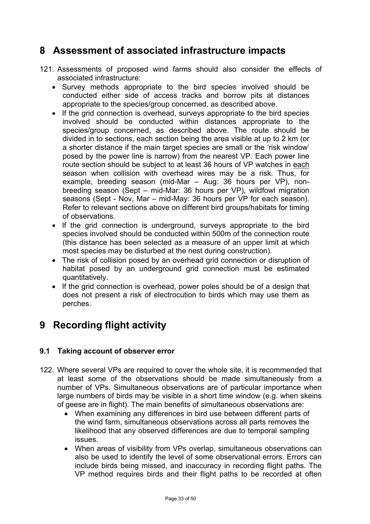## <span id="page-32-0"></span>**8 Assessment of associated infrastructure impacts**

- 121. Assessments of proposed wind farms should also consider the effects of associated infrastructure:
	- Survey methods appropriate to the bird species involved should be conducted either side of access tracks and borrow pits at distances appropriate to the species/group concerned, as described above.
	- If the grid connection is overhead, surveys appropriate to the bird species involved should be conducted within distances appropriate to the species/group concerned, as described above. The route should be divided in to sections, each section being the area visible at up to 2 km (or a shorter distance if the main target species are small or the 'risk window' posed by the power line is narrow) from the nearest VP. Each power line route section should be subject to at least 36 hours of VP watches in each season when collision with overhead wires may be a risk. Thus, for example, breeding season (mid-Mar – Aug: 36 hours per VP), nonbreeding season (Sept – mid-Mar: 36 hours per VP), wildfowl migration seasons (Sept - Nov, Mar – mid-May: 36 hours per VP for each season). Refer to relevant sections above on different bird groups/habitats for timing of observations.
	- If the grid connection is underground, surveys appropriate to the bird species involved should be conducted within 500m of the connection route (this distance has been selected as a measure of an upper limit at which most species may be disturbed at the nest during construction).
	- The risk of collision posed by an overhead grid connection or disruption of habitat posed by an underground grid connection must be estimated quantitatively.
	- If the grid connection is overhead, power poles should be of a design that does not present a risk of electrocution to birds which may use them as perches.

# **9 Recording flight activity**

## **9.1 Taking account of observer error**

- 122. Where several VPs are required to cover the whole site, it is recommended that at least some of the observations should be made simultaneously from a number of VPs. Simultaneous observations are of particular importance when large numbers of birds may be visible in a short time window (e.g. when skeins of geese are in flight). The main benefits of simultaneous observations are:
	- When examining any differences in bird use between different parts of the wind farm, simultaneous observations across all parts removes the likelihood that any observed differences are due to temporal sampling issues.
	- When areas of visibility from VPs overlap, simultaneous observations can also be used to identify the level of some observational errors. Errors can include birds being missed, and inaccuracy in recording flight paths. The VP method requires birds and their flight paths to be recorded at often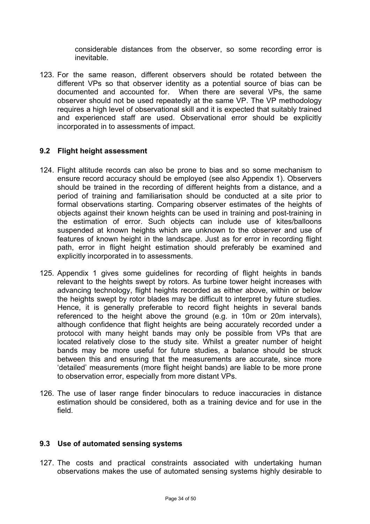considerable distances from the observer, so some recording error is inevitable.

<span id="page-33-0"></span>123. For the same reason, different observers should be rotated between the different VPs so that observer identity as a potential source of bias can be documented and accounted for. When there are several VPs, the same observer should not be used repeatedly at the same VP. The VP methodology requires a high level of observational skill and it is expected that suitably trained and experienced staff are used. Observational error should be explicitly incorporated in to assessments of impact.

### **9.2 Flight height assessment**

- 124. Flight altitude records can also be prone to bias and so some mechanism to ensure record accuracy should be employed (see also Appendix 1). Observers should be trained in the recording of different heights from a distance, and a period of training and familiarisation should be conducted at a site prior to formal observations starting. Comparing observer estimates of the heights of objects against their known heights can be used in training and post-training in the estimation of error. Such objects can include use of kites/balloons suspended at known heights which are unknown to the observer and use of features of known height in the landscape. Just as for error in recording flight path, error in flight height estimation should preferably be examined and explicitly incorporated in to assessments.
- 125. Appendix 1 gives some guidelines for recording of flight heights in bands relevant to the heights swept by rotors. As turbine tower height increases with advancing technology, flight heights recorded as either above, within or below the heights swept by rotor blades may be difficult to interpret by future studies. Hence, it is generally preferable to record flight heights in several bands referenced to the height above the ground (e.g. in 10m or 20m intervals), although confidence that flight heights are being accurately recorded under a protocol with many height bands may only be possible from VPs that are located relatively close to the study site. Whilst a greater number of height bands may be more useful for future studies, a balance should be struck between this and ensuring that the measurements are accurate, since more 'detailed' measurements (more flight height bands) are liable to be more prone to observation error, especially from more distant VPs.
- 126. The use of laser range finder binoculars to reduce inaccuracies in distance estimation should be considered, both as a training device and for use in the field.

#### **9.3 Use of automated sensing systems**

127. The costs and practical constraints associated with undertaking human observations makes the use of automated sensing systems highly desirable to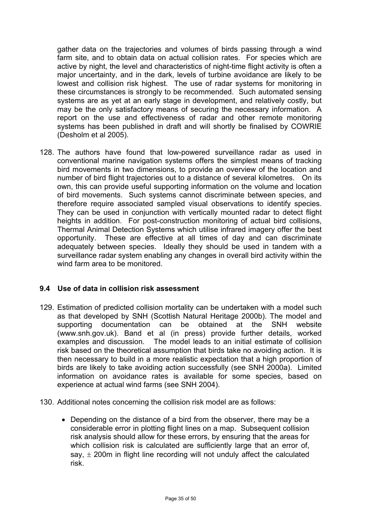<span id="page-34-0"></span>gather data on the trajectories and volumes of birds passing through a wind farm site, and to obtain data on actual collision rates. For species which are active by night, the level and characteristics of night-time flight activity is often a major uncertainty, and in the dark, levels of turbine avoidance are likely to be lowest and collision risk highest. The use of radar systems for monitoring in these circumstances is strongly to be recommended. Such automated sensing systems are as yet at an early stage in development, and relatively costly, but may be the only satisfactory means of securing the necessary information. A report on the use and effectiveness of radar and other remote monitoring systems has been published in draft and will shortly be finalised by COWRIE (Desholm et al 2005).

128. The authors have found that low-powered surveillance radar as used in conventional marine navigation systems offers the simplest means of tracking bird movements in two dimensions, to provide an overview of the location and number of bird flight trajectories out to a distance of several kilometres. On its own, this can provide useful supporting information on the volume and location of bird movements. Such systems cannot discriminate between species, and therefore require associated sampled visual observations to identify species. They can be used in conjunction with vertically mounted radar to detect flight heights in addition. For post-construction monitoring of actual bird collisions, Thermal Animal Detection Systems which utilise infrared imagery offer the best opportunity. These are effective at all times of day and can discriminate adequately between species. Ideally they should be used in tandem with a surveillance radar system enabling any changes in overall bird activity within the wind farm area to be monitored.

#### **9.4 Use of data in collision risk assessment**

- 129. Estimation of predicted collision mortality can be undertaken with a model such as that developed by SNH (Scottish Natural Heritage 2000b). The model and supporting documentation can be obtained at the SNH website (www.snh.gov.uk). Band et al (in press) provide further details, worked examples and discussion. The model leads to an initial estimate of collision risk based on the theoretical assumption that birds take no avoiding action. It is then necessary to build in a more realistic expectation that a high proportion of birds are likely to take avoiding action successfully (see SNH 2000a). Limited information on avoidance rates is available for some species, based on experience at actual wind farms (see SNH 2004).
- 130. Additional notes concerning the collision risk model are as follows:
	- Depending on the distance of a bird from the observer, there may be a considerable error in plotting flight lines on a map. Subsequent collision risk analysis should allow for these errors, by ensuring that the areas for which collision risk is calculated are sufficiently large that an error of, say,  $\pm$  200m in flight line recording will not unduly affect the calculated risk.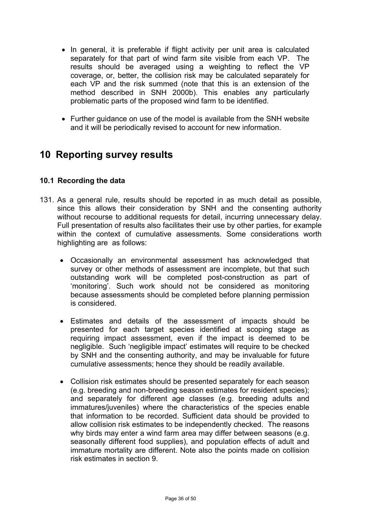- <span id="page-35-0"></span>• In general, it is preferable if flight activity per unit area is calculated separately for that part of wind farm site visible from each VP. The results should be averaged using a weighting to reflect the VP coverage, or, better, the collision risk may be calculated separately for each VP and the risk summed (note that this is an extension of the method described in SNH 2000b). This enables any particularly problematic parts of the proposed wind farm to be identified.
- Further guidance on use of the model is available from the SNH website and it will be periodically revised to account for new information.

## **10 Reporting survey results**

## **10.1 Recording the data**

- 131. As a general rule, results should be reported in as much detail as possible, since this allows their consideration by SNH and the consenting authority without recourse to additional requests for detail, incurring unnecessary delay. Full presentation of results also facilitates their use by other parties, for example within the context of cumulative assessments. Some considerations worth highlighting are as follows:
	- Occasionally an environmental assessment has acknowledged that survey or other methods of assessment are incomplete, but that such outstanding work will be completed post-construction as part of 'monitoring'. Such work should not be considered as monitoring because assessments should be completed before planning permission is considered.
	- Estimates and details of the assessment of impacts should be presented for each target species identified at scoping stage as requiring impact assessment, even if the impact is deemed to be negligible. Such 'negligible impact' estimates will require to be checked by SNH and the consenting authority, and may be invaluable for future cumulative assessments; hence they should be readily available.
	- Collision risk estimates should be presented separately for each season (e.g. breeding and non-breeding season estimates for resident species); and separately for different age classes (e.g. breeding adults and immatures/juveniles) where the characteristics of the species enable that information to be recorded. Sufficient data should be provided to allow collision risk estimates to be independently checked. The reasons why birds may enter a wind farm area may differ between seasons (e.g. seasonally different food supplies), and population effects of adult and immature mortality are different. Note also the points made on collision risk estimates in section 9.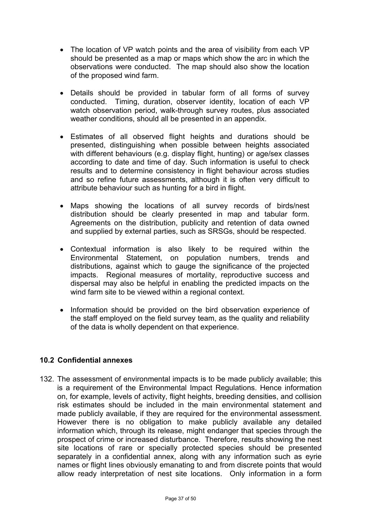- The location of VP watch points and the area of visibility from each VP should be presented as a map or maps which show the arc in which the observations were conducted. The map should also show the location of the proposed wind farm.
- Details should be provided in tabular form of all forms of survey conducted. Timing, duration, observer identity, location of each VP watch observation period, walk-through survey routes, plus associated weather conditions, should all be presented in an appendix.
- Estimates of all observed flight heights and durations should be presented, distinguishing when possible between heights associated with different behaviours (e.g. display flight, hunting) or age/sex classes according to date and time of day. Such information is useful to check results and to determine consistency in flight behaviour across studies and so refine future assessments, although it is often very difficult to attribute behaviour such as hunting for a bird in flight.
- Maps showing the locations of all survey records of birds/nest distribution should be clearly presented in map and tabular form. Agreements on the distribution, publicity and retention of data owned and supplied by external parties, such as SRSGs, should be respected.
- Contextual information is also likely to be required within the Environmental Statement, on population numbers, trends and distributions, against which to gauge the significance of the projected impacts. Regional measures of mortality, reproductive success and dispersal may also be helpful in enabling the predicted impacts on the wind farm site to be viewed within a regional context.
- Information should be provided on the bird observation experience of the staff employed on the field survey team, as the quality and reliability of the data is wholly dependent on that experience.

#### **10.2 Confidential annexes**

132. The assessment of environmental impacts is to be made publicly available; this is a requirement of the Environmental Impact Regulations. Hence information on, for example, levels of activity, flight heights, breeding densities, and collision risk estimates should be included in the main environmental statement and made publicly available, if they are required for the environmental assessment. However there is no obligation to make publicly available any detailed information which, through its release, might endanger that species through the prospect of crime or increased disturbance. Therefore, results showing the nest site locations of rare or specially protected species should be presented separately in a confidential annex, along with any information such as eyrie names or flight lines obviously emanating to and from discrete points that would allow ready interpretation of nest site locations. Only information in a form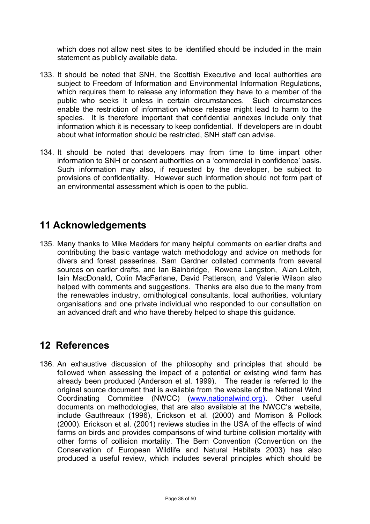<span id="page-37-0"></span>which does not allow nest sites to be identified should be included in the main statement as publicly available data.

- 133. It should be noted that SNH, the Scottish Executive and local authorities are subject to Freedom of Information and Environmental Information Regulations, which requires them to release any information they have to a member of the public who seeks it unless in certain circumstances. Such circumstances enable the restriction of information whose release might lead to harm to the species. It is therefore important that confidential annexes include only that information which it is necessary to keep confidential. If developers are in doubt about what information should be restricted, SNH staff can advise.
- 134. It should be noted that developers may from time to time impart other information to SNH or consent authorities on a 'commercial in confidence' basis. Such information may also, if requested by the developer, be subject to provisions of confidentiality. However such information should not form part of an environmental assessment which is open to the public.

## **11 Acknowledgements**

135. Many thanks to Mike Madders for many helpful comments on earlier drafts and contributing the basic vantage watch methodology and advice on methods for divers and forest passerines. Sam Gardner collated comments from several sources on earlier drafts, and Ian Bainbridge, Rowena Langston, Alan Leitch, Iain MacDonald, Colin MacFarlane, David Patterson, and Valerie Wilson also helped with comments and suggestions. Thanks are also due to the many from the renewables industry, ornithological consultants, local authorities, voluntary organisations and one private individual who responded to our consultation on an advanced draft and who have thereby helped to shape this guidance.

## **12 References**

136. An exhaustive discussion of the philosophy and principles that should be followed when assessing the impact of a potential or existing wind farm has already been produced (Anderson et al. 1999). The reader is referred to the original source document that is available from the website of the National Wind Coordinating Committee (NWCC) ([www.nationalwind.org\)](http://www.nationalwind.org)/). Other useful documents on methodologies, that are also available at the NWCC's website, include Gauthreaux (1996), Erickson et al. (2000) and Morrison & Pollock (2000). Erickson et al. (2001) reviews studies in the USA of the effects of wind farms on birds and provides comparisons of wind turbine collision mortality with other forms of collision mortality. The Bern Convention (Convention on the Conservation of European Wildlife and Natural Habitats 2003) has also produced a useful review, which includes several principles which should be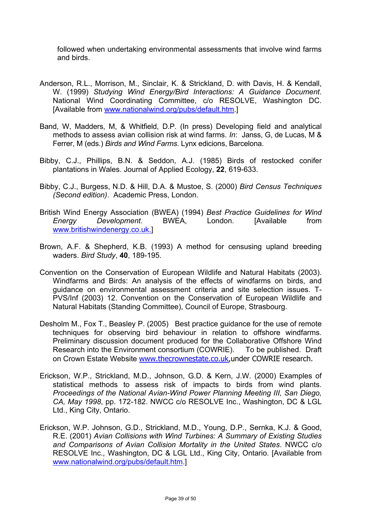followed when undertaking environmental assessments that involve wind farms and birds.

- Anderson, R.L., Morrison, M., Sinclair, K. & Strickland, D. with Davis, H. & Kendall, W. (1999) *Studying Wind Energy/Bird Interactions: A Guidance Document*. National Wind Coordinating Committee, c/o RESOLVE, Washington DC. [Available from [www.nationalwind.org/pubs/default.htm.](http://www.nationalwind.org/pubs/default.htm)]
- Band, W, Madders, M, & Whitfield, D.P. (In press) Developing field and analytical methods to assess avian collision risk at wind farms. *In*: Janss, G, de Lucas, M & Ferrer, M (eds.) *Birds and Wind Farms*. Lynx edicions, Barcelona.
- Bibby, C.J., Phillips, B.N. & Seddon, A.J. (1985) Birds of restocked conifer plantations in Wales. Journal of Applied Ecology, **22**, 619-633.
- Bibby, C.J., Burgess, N.D. & Hill, D.A. & Mustoe, S. (2000) *Bird Census Techniques (Second edition)*. Academic Press, London.
- British Wind Energy Association (BWEA) (1994) *Best Practice Guidelines for Wind Energy Development*. BWEA, London. [Available from [www.britishwindenergy.co.uk.](http://www.britishwindenergy.co.uk./)]
- Brown, A.F. & Shepherd, K.B. (1993) A method for censusing upland breeding waders. *Bird Study*, **40**, 189-195.
- Convention on the Conservation of European Wildlife and Natural Habitats (2003). Windfarms and Birds: An analysis of the effects of windfarms on birds, and guidance on environmental assessment criteria and site selection issues. T-PVS/Inf (2003) 12. Convention on the Conservation of European Wildlife and Natural Habitats (Standing Committee), Council of Europe, Strasbourg.
- Desholm M., Fox T., Beasley P. (2005) Best practice guidance for the use of remote techniques for observing bird behaviour in relation to offshore windfarms. Preliminary discussion document produced for the Collaborative Offshore Wind Research into the Environment consortium (COWRIE). To be published. Draft on Crown Estate Website [www.thecrownestate.co.uk](http://www.thecrownestate.co.uk/),under COWRIE research.
- Erickson, W.P., Strickland, M.D., Johnson, G.D. & Kern, J.W. (2000) Examples of statistical methods to assess risk of impacts to birds from wind plants. *Proceedings of the National Avian-Wind Power Planning Meeting III, San Diego, CA, May 1998*, pp. 172-182. NWCC c/o RESOLVE Inc., Washington, DC & LGL Ltd., King City, Ontario.
- Erickson, W.P. Johnson, G.D., Strickland, M.D., Young, D.P., Sernka, K.J. & Good, R.E. (2001) *Avian Collisions with Wind Turbines: A Summary of Existing Studies and Comparisons of Avian Collision Mortality in the United States*. NWCC c/o RESOLVE Inc., Washington, DC & LGL Ltd., King City, Ontario. [Available from [www.nationalwind.org/pubs/default.htm.](http://www.nationalwind.org/pubs/default.htm)]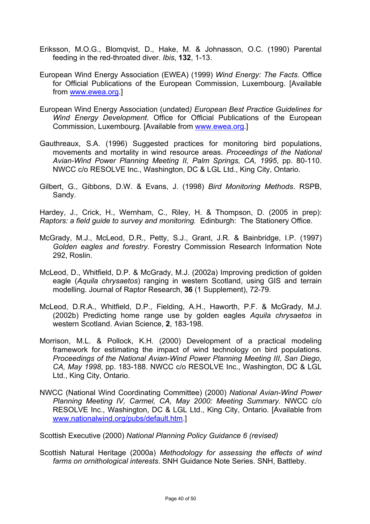- Eriksson, M.O.G., Blomqvist, D., Hake, M. & Johnasson, O.C. (1990) Parental feeding in the red-throated diver. *Ibis*, **132**, 1-13.
- European Wind Energy Association (EWEA) (1999) *Wind Energy: The Facts*. Office for Official Publications of the European Commission, Luxembourg. [Available from [www.ewea.org.](http://www.ewea.org/)]
- European Wind Energy Association (undated*) European Best Practice Guidelines for Wind Energy Development*. Office for Official Publications of the European Commission, Luxembourg. [Available from [www.ewea.org](http://www.ewea.org/).]
- Gauthreaux, S.A. (1996) Suggested practices for monitoring bird populations, movements and mortality in wind resource areas. *Proceedings of the National Avian-Wind Power Planning Meeting II, Palm Springs, CA, 1995*, pp. 80-110. NWCC c/o RESOLVE Inc., Washington, DC & LGL Ltd., King City, Ontario.
- Gilbert, G., Gibbons, D.W. & Evans, J. (1998) *Bird Monitoring Methods*. RSPB, Sandy.

Hardey, J., Crick, H., Wernham, C., Riley, H. & Thompson, D. (2005 in prep): *Raptors: a field guide to survey and monitoring.* Edinburgh: The Stationery Office.

- McGrady, M.J., McLeod, D.R., Petty, S.J., Grant, J.R. & Bainbridge, I.P. (1997) *Golden eagles and forestry*. Forestry Commission Research Information Note 292, Roslin.
- McLeod, D., Whitfield, D.P. & McGrady, M.J. (2002a) Improving prediction of golden eagle (*Aquila chrysaetos*) ranging in western Scotland, using GIS and terrain modelling. Journal of Raptor Research, **36** (1 Supplement), 72-79.
- McLeod, D.R.A., Whitfield, D.P., Fielding, A.H., Haworth, P.F. & McGrady, M.J. (2002b) Predicting home range use by golden eagles *Aquila chrysaetos* in western Scotland. Avian Science, **2**, 183-198.
- Morrison, M.L. & Pollock, K.H. (2000) Development of a practical modeling framework for estimating the impact of wind technology on bird populations. *Proceedings of the National Avian-Wind Power Planning Meeting III, San Diego, CA, May 1998*, pp. 183-188. NWCC c/o RESOLVE Inc., Washington, DC & LGL Ltd., King City, Ontario.
- NWCC (National Wind Coordinating Committee) (2000) *National Avian-Wind Power Planning Meeting IV, Carmel, CA, May 2000: Meeting Summary*. NWCC c/o RESOLVE Inc., Washington, DC & LGL Ltd., King City, Ontario. [Available from [www.nationalwind.org/pubs/default.htm.](http://www.nationalwind.org/pubs/default.htm)]

Scottish Executive (2000) *National Planning Policy Guidance 6 (revised)*

Scottish Natural Heritage (2000a) *Methodology for assessing the effects of wind farms on ornithological interests*. SNH Guidance Note Series. SNH, Battleby.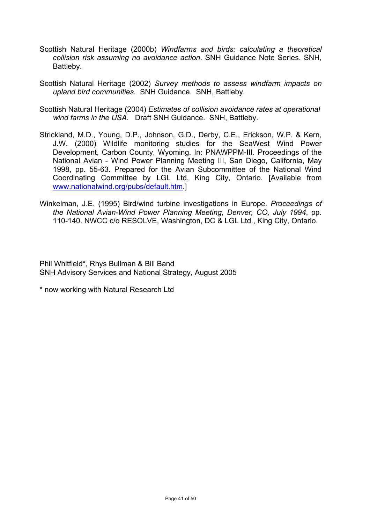- Scottish Natural Heritage (2000b) *Windfarms and birds: calculating a theoretical collision risk assuming no avoidance action*. SNH Guidance Note Series. SNH, Battleby.
- Scottish Natural Heritage (2002) *Survey methods to assess windfarm impacts on upland bird communities.* SNH Guidance. SNH, Battleby.
- Scottish Natural Heritage (2004) *Estimates of collision avoidance rates at operational wind farms in the USA.* Draft SNH Guidance. SNH, Battleby.
- Strickland, M.D., Young, D.P., Johnson, G.D., Derby, C.E., Erickson, W.P. & Kern, J.W. (2000) Wildlife monitoring studies for the SeaWest Wind Power Development, Carbon County, Wyoming. In: PNAWPPM-III. Proceedings of the National Avian - Wind Power Planning Meeting III, San Diego, California, May 1998, pp. 55-63. Prepared for the Avian Subcommittee of the National Wind Coordinating Committee by LGL Ltd, King City, Ontario. [Available from [www.nationalwind.org/pubs/default.htm.](http://www.nationalwind.org/pubs/default.htm)]
- Winkelman, J.E. (1995) Bird/wind turbine investigations in Europe. *Proceedings of the National Avian-Wind Power Planning Meeting, Denver, CO, July 1994*, pp. 110-140. NWCC c/o RESOLVE, Washington, DC & LGL Ltd., King City, Ontario.

Phil Whitfield\*, Rhys Bullman & Bill Band SNH Advisory Services and National Strategy, August 2005

\* now working with Natural Research Ltd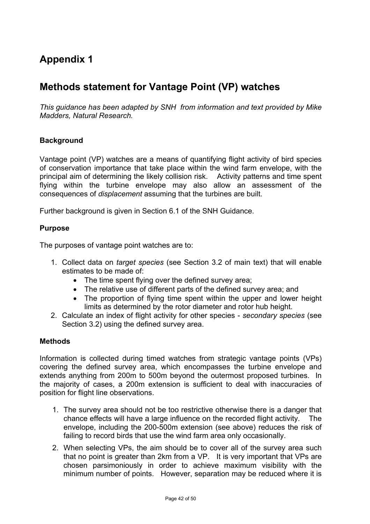# <span id="page-41-0"></span>**Appendix 1**

## **Methods statement for Vantage Point (VP) watches**

*This guidance has been adapted by SNH from information and text provided by Mike Madders, Natural Research.* 

#### **Background**

Vantage point (VP) watches are a means of quantifying flight activity of bird species of conservation importance that take place within the wind farm envelope, with the principal aim of determining the likely collision risk. Activity patterns and time spent flying within the turbine envelope may also allow an assessment of the consequences of *displacement* assuming that the turbines are built.

Further background is given in Section 6.1 of the SNH Guidance.

#### **Purpose**

The purposes of vantage point watches are to:

- 1. Collect data on *target species* (see Section 3.2 of main text) that will enable estimates to be made of:
	- The time spent flying over the defined survey area;
	- The relative use of different parts of the defined survey area; and
	- The proportion of flying time spent within the upper and lower height limits as determined by the rotor diameter and rotor hub height.
- 2. Calculate an index of flight activity for other species *secondary species* (see Section 3.2) using the defined survey area.

#### **Methods**

Information is collected during timed watches from strategic vantage points (VPs) covering the defined survey area, which encompasses the turbine envelope and extends anything from 200m to 500m beyond the outermost proposed turbines. In the majority of cases, a 200m extension is sufficient to deal with inaccuracies of position for flight line observations.

- 1. The survey area should not be too restrictive otherwise there is a danger that chance effects will have a large influence on the recorded flight activity. The envelope, including the 200-500m extension (see above) reduces the risk of failing to record birds that use the wind farm area only occasionally.
- 2. When selecting VPs, the aim should be to cover all of the survey area such that no point is greater than 2km from a VP. It is very important that VPs are chosen parsimoniously in order to achieve maximum visibility with the minimum number of points. However, separation may be reduced where it is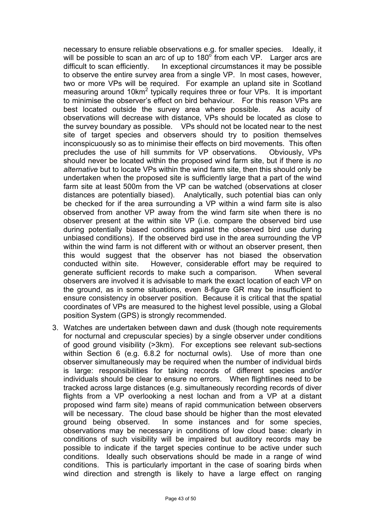necessary to ensure reliable observations e.g. for smaller species. Ideally, it will be possible to scan an arc of up to 180 $\degree$  from each VP. Larger arcs are difficult to scan efficiently. In exceptional circumstances it may be possible to observe the entire survey area from a single VP. In most cases, however, two or more VPs will be required. For example an upland site in Scotland measuring around 10 km<sup>2</sup> typically requires three or four VPs. It is important to minimise the observer's effect on bird behaviour. For this reason VPs are best located outside the survey area where possible. As acuity of observations will decrease with distance, VPs should be located as close to the survey boundary as possible. VPs should not be located near to the nest site of target species and observers should try to position themselves inconspicuously so as to minimise their effects on bird movements. This often precludes the use of hill summits for VP observations. Obviously, VPs should never be located within the proposed wind farm site, but if there is *no alternative* but to locate VPs within the wind farm site, then this should only be undertaken when the proposed site is sufficiently large that a part of the wind farm site at least 500m from the VP can be watched (observations at closer distances are potentially biased). Analytically, such potential bias can only be checked for if the area surrounding a VP within a wind farm site is also observed from another VP away from the wind farm site when there is no observer present at the within site VP (i.e. compare the observed bird use during potentially biased conditions against the observed bird use during unbiased conditions). If the observed bird use in the area surrounding the VP within the wind farm is not different with or without an observer present, then this would suggest that the observer has not biased the observation conducted within site. However, considerable effort may be required to generate sufficient records to make such a comparison. When several observers are involved it is advisable to mark the exact location of each VP on the ground, as in some situations, even 8-figure GR may be insufficient to ensure consistency in observer position. Because it is critical that the spatial coordinates of VPs are measured to the highest level possible, using a Global position System (GPS) is strongly recommended.

3. Watches are undertaken between dawn and dusk (though note requirements for nocturnal and crepuscular species) by a single observer under conditions of good ground visibility (>3km). For exceptions see relevant sub-sections within Section 6 (e.g. 6.8.2 for nocturnal owls). Use of more than one observer simultaneously may be required when the number of individual birds is large: responsibilities for taking records of different species and/or individuals should be clear to ensure no errors. When flightlines need to be tracked across large distances (e.g. simultaneously recording records of diver flights from a VP overlooking a nest lochan and from a VP at a distant proposed wind farm site) means of rapid communication between observers will be necessary. The cloud base should be higher than the most elevated ground being observed. In some instances and for some species, observations may be necessary in conditions of low cloud base: clearly in conditions of such visibility will be impaired but auditory records may be possible to indicate if the target species continue to be active under such conditions. Ideally such observations should be made in a range of wind conditions. This is particularly important in the case of soaring birds when wind direction and strength is likely to have a large effect on ranging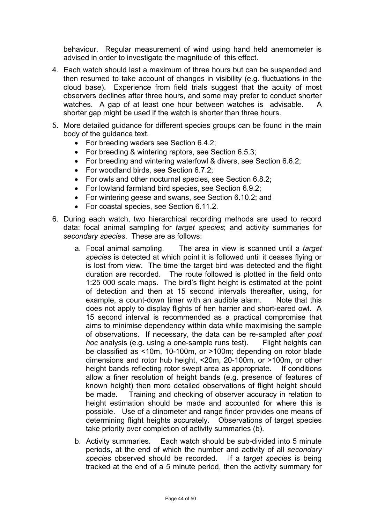behaviour. Regular measurement of wind using hand held anemometer is advised in order to investigate the magnitude of this effect.

- 4. Each watch should last a maximum of three hours but can be suspended and then resumed to take account of changes in visibility (e.g. fluctuations in the cloud base). Experience from field trials suggest that the acuity of most observers declines after three hours, and some may prefer to conduct shorter watches. A gap of at least one hour between watches is advisable. A shorter gap might be used if the watch is shorter than three hours.
- 5. More detailed guidance for different species groups can be found in the main body of the guidance text.
	- For breeding waders see Section 6.4.2;
	- For breeding & wintering raptors, see Section 6.5.3;
	- For breeding and wintering waterfowl & divers, see Section 6.6.2;
	- For woodland birds, see Section 6.7.2;
	- For owls and other nocturnal species, see Section 6.8.2;
	- For lowland farmland bird species, see Section 6.9.2;
	- For wintering geese and swans, see Section 6.10.2; and
	- For coastal species, see Section 6.11.2.
- 6. During each watch, two hierarchical recording methods are used to record data: focal animal sampling for *target species*; and activity summaries for *secondary species*. These are as follows:
	- a. Focal animal sampling. The area in view is scanned until a *target species* is detected at which point it is followed until it ceases flying or is lost from view. The time the target bird was detected and the flight duration are recorded. The route followed is plotted in the field onto 1:25 000 scale maps. The bird's flight height is estimated at the point of detection and then at 15 second intervals thereafter, using, for example, a count-down timer with an audible alarm. Note that this does not apply to display flights of hen harrier and short-eared owl. A 15 second interval is recommended as a practical compromise that aims to minimise dependency within data while maximising the sample of observations. If necessary, the data can be re-sampled after *post hoc* analysis (e.g. using a one-sample runs test). Flight heights can be classified as <10m, 10-100m, or >100m; depending on rotor blade dimensions and rotor hub height, <20m, 20-100m, or >100m, or other height bands reflecting rotor swept area as appropriate. If conditions allow a finer resolution of height bands (e.g. presence of features of known height) then more detailed observations of flight height should be made. Training and checking of observer accuracy in relation to height estimation should be made and accounted for where this is possible. Use of a clinometer and range finder provides one means of determining flight heights accurately. Observations of target species take priority over completion of activity summaries (b).
	- b. Activity summaries. Each watch should be sub-divided into 5 minute periods, at the end of which the number and activity of all *secondary species* observed should be recorded. If a *target species* is being tracked at the end of a 5 minute period, then the activity summary for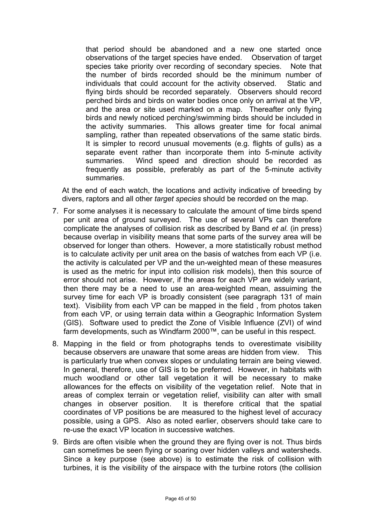that period should be abandoned and a new one started once observations of the target species have ended. Observation of target species take priority over recording of secondary species. Note that the number of birds recorded should be the minimum number of individuals that could account for the activity observed. Static and flying birds should be recorded separately. Observers should record perched birds and birds on water bodies once only on arrival at the VP, and the area or site used marked on a map. Thereafter only flying birds and newly noticed perching/swimming birds should be included in the activity summaries. This allows greater time for focal animal sampling, rather than repeated observations of the same static birds. It is simpler to record unusual movements (e.g. flights of gulls) as a separate event rather than incorporate them into 5-minute activity summaries. Wind speed and direction should be recorded as frequently as possible, preferably as part of the 5-minute activity summaries.

At the end of each watch, the locations and activity indicative of breeding by divers, raptors and all other *target species* should be recorded on the map.

- 7. For some analyses it is necessary to calculate the amount of time birds spend per unit area of ground surveyed. The use of several VPs can therefore complicate the analyses of collision risk as described by Band *et al.* (in press) because overlap in visibility means that some parts of the survey area will be observed for longer than others. However, a more statistically robust method is to calculate activity per unit area on the basis of watches from each VP (i.e. the activity is calculated per VP and the un-weighted mean of these measures is used as the metric for input into collision risk models), then this source of error should not arise. However, if the areas for each VP are widely variant, then there may be a need to use an area-weighted mean, assuiming the survey time for each VP is broadly consistent (see paragraph 131 of main text). Visibility from each VP can be mapped in the field , from photos taken from each VP, or using terrain data within a Geographic Information System (GIS). Software used to predict the Zone of Visible Influence (ZVI) of wind farm developments, such as Windfarm 2000™, can be useful in this respect.
- 8. Mapping in the field or from photographs tends to overestimate visibility because observers are unaware that some areas are hidden from view. This is particularly true when convex slopes or undulating terrain are being viewed. In general, therefore, use of GIS is to be preferred. However, in habitats with much woodland or other tall vegetation it will be necessary to make allowances for the effects on visibility of the vegetation relief. Note that in areas of complex terrain or vegetation relief, visibility can alter with small changes in observer position. It is therefore critical that the spatial coordinates of VP positions be are measured to the highest level of accuracy possible, using a GPS. Also as noted earlier, observers should take care to re-use the exact VP location in successive watches.
- 9. Birds are often visible when the ground they are flying over is not. Thus birds can sometimes be seen flying or soaring over hidden valleys and watersheds. Since a key purpose (see above) is to estimate the risk of collision with turbines, it is the visibility of the airspace with the turbine rotors (the collision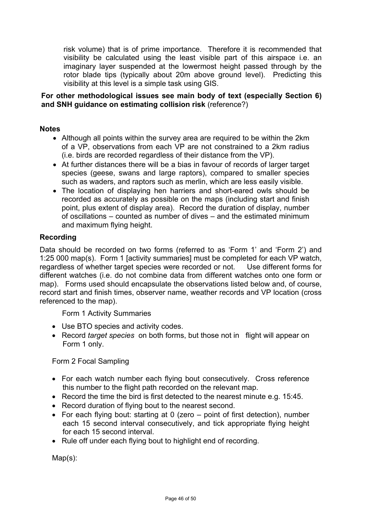risk volume) that is of prime importance. Therefore it is recommended that visibility be calculated using the least visible part of this airspace i.e. an imaginary layer suspended at the lowermost height passed through by the rotor blade tips (typically about 20m above ground level). Predicting this visibility at this level is a simple task using GIS.

#### **For other methodological issues see main body of text (especially Section 6) and SNH guidance on estimating collision risk** (reference?)

### **Notes**

- Although all points within the survey area are required to be within the 2km of a VP, observations from each VP are not constrained to a 2km radius (i.e. birds are recorded regardless of their distance from the VP).
- At further distances there will be a bias in favour of records of larger target species (geese, swans and large raptors), compared to smaller species such as waders, and raptors such as merlin, which are less easily visible.
- The location of displaying hen harriers and short-eared owls should be recorded as accurately as possible on the maps (including start and finish point, plus extent of display area). Record the duration of display, number of oscillations – counted as number of dives – and the estimated minimum and maximum flying height.

## **Recording**

Data should be recorded on two forms (referred to as 'Form 1' and 'Form 2') and 1:25 000 map(s). Form 1 [activity summaries] must be completed for each VP watch, regardless of whether target species were recorded or not. Use different forms for different watches (i.e. do not combine data from different watches onto one form or map). Forms used should encapsulate the observations listed below and, of course, record start and finish times, observer name, weather records and VP location (cross referenced to the map).

Form 1 Activity Summaries

- Use BTO species and activity codes.
- Record *target species* on both forms, but those not in flight will appear on Form 1 only.

Form 2 Focal Sampling

- For each watch number each flying bout consecutively. Cross reference this number to the flight path recorded on the relevant map.
- Record the time the bird is first detected to the nearest minute e.g. 15:45.
- Record duration of flying bout to the nearest second.
- For each flying bout: starting at 0 (zero point of first detection), number each 15 second interval consecutively, and tick appropriate flying height for each 15 second interval.
- Rule off under each flying bout to highlight end of recording.

Map(s):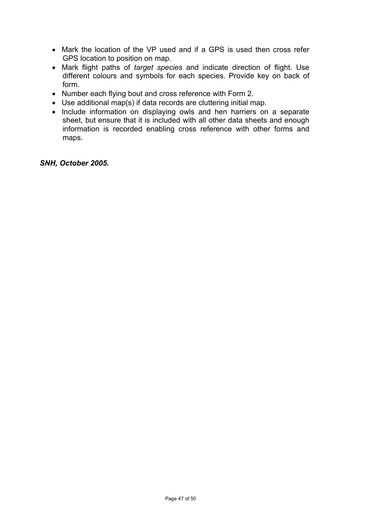- Mark the location of the VP used and if a GPS is used then cross refer GPS location to position on map.
- Mark flight paths of *target species* and indicate direction of flight. Use different colours and symbols for each species. Provide key on back of form.
- Number each flying bout and cross reference with Form 2.
- Use additional map(s) if data records are cluttering initial map.
- Include information on displaying owls and hen harriers on a separate sheet, but ensure that it is included with all other data sheets and enough information is recorded enabling cross reference with other forms and maps.

*SNH, October 2005.*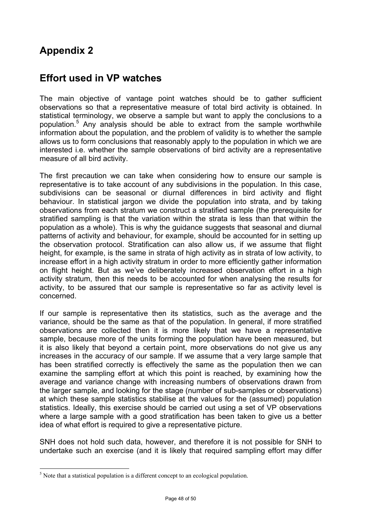# <span id="page-47-0"></span>**Appendix 2**

## **Effort used in VP watches**

The main objective of vantage point watches should be to gather sufficient observations so that a representative measure of total bird activity is obtained. In statistical terminology, we observe a sample but want to apply the conclusions to a population.[5](#page-47-1) Any analysis should be able to extract from the sample worthwhile information about the population, and the problem of validity is to whether the sample allows us to form conclusions that reasonably apply to the population in which we are interested i.e. whether the sample observations of bird activity are a representative measure of all bird activity.

The first precaution we can take when considering how to ensure our sample is representative is to take account of any subdivisions in the population. In this case, subdivisions can be seasonal or diurnal differences in bird activity and flight behaviour. In statistical jargon we divide the population into strata, and by taking observations from each stratum we construct a stratified sample (the prerequisite for stratified sampling is that the variation within the strata is less than that within the population as a whole). This is why the guidance suggests that seasonal and diurnal patterns of activity and behaviour, for example, should be accounted for in setting up the observation protocol. Stratification can also allow us, if we assume that flight height, for example, is the same in strata of high activity as in strata of low activity, to increase effort in a high activity stratum in order to more efficiently gather information on flight height. But as we've deliberately increased observation effort in a high activity stratum, then this needs to be accounted for when analysing the results for activity, to be assured that our sample is representative so far as activity level is concerned.

If our sample is representative then its statistics, such as the average and the variance, should be the same as that of the population. In general, if more stratified observations are collected then it is more likely that we have a representative sample, because more of the units forming the population have been measured, but it is also likely that beyond a certain point, more observations do not give us any increases in the accuracy of our sample. If we assume that a very large sample that has been stratified correctly is effectively the same as the population then we can examine the sampling effort at which this point is reached, by examining how the average and variance change with increasing numbers of observations drawn from the larger sample, and looking for the stage (number of sub-samples or observations) at which these sample statistics stabilise at the values for the (assumed) population statistics. Ideally, this exercise should be carried out using a set of VP observations where a large sample with a good stratification has been taken to give us a better idea of what effort is required to give a representative picture.

SNH does not hold such data, however, and therefore it is not possible for SNH to undertake such an exercise (and it is likely that required sampling effort may differ

<span id="page-47-1"></span>5  $<sup>5</sup>$  Note that a statistical population is a different concept to an ecological population.</sup>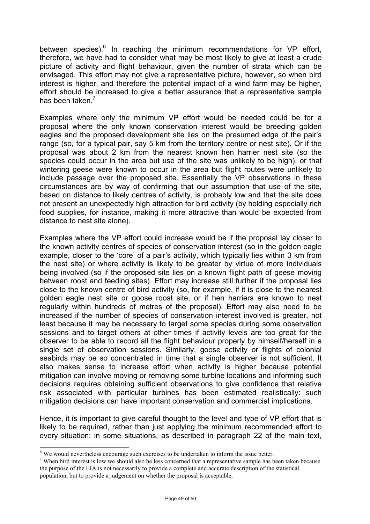between species).<sup>[6](#page-48-0)</sup> In reaching the minimum recommendations for VP effort, therefore, we have had to consider what may be most likely to give at least a crude picture of activity and flight behaviour, given the number of strata which can be envisaged. This effort may not give a representative picture, however, so when bird interest is higher, and therefore the potential impact of a wind farm may be higher, effort should be increased to give a better assurance that a representative sample has been taken.<sup>[7](#page-48-1)</sup>

Examples where only the minimum VP effort would be needed could be for a proposal where the only known conservation interest would be breeding golden eagles and the proposed development site lies on the presumed edge of the pair's range (so, for a typical pair, say 5 km from the territory centre or nest site). Or if the proposal was about 2 km from the nearest known hen harrier nest site (so the species could occur in the area but use of the site was unlikely to be high), or that wintering geese were known to occur in the area but flight routes were unlikely to include passage over the proposed site. Essentially the VP observations in these circumstances are by way of confirming that our assumption that use of the site, based on distance to likely centres of activity, is probably low and that the site does not present an unexpectedly high attraction for bird activity (by holding especially rich food supplies, for instance, making it more attractive than would be expected from distance to nest site alone).

Examples where the VP effort could increase would be if the proposal lay closer to the known activity centres of species of conservation interest (so in the golden eagle example, closer to the 'core' of a pair's activity, which typically lies within 3 km from the nest site) or where activity is likely to be greater by virtue of more individuals being involved (so if the proposed site lies on a known flight path of geese moving between roost and feeding sites). Effort may increase still further if the proposal lies close to the known centre of bird activity (so, for example, if it is close to the nearest golden eagle nest site or goose roost site, or if hen harriers are known to nest regularly within hundreds of metres of the proposal). Effort may also need to be increased if the number of species of conservation interest involved is greater, not least because it may be necessary to target some species during some observation sessions and to target others at other times if activity levels are too great for the observer to be able to record all the flight behaviour properly by himself/herself in a single set of observation sessions. Similarly, goose activity or flights of colonial seabirds may be so concentrated in time that a single observer is not sufficient. It also makes sense to increase effort when activity is higher because potential mitigation can involve moving or removing some turbine locations and informing such decisions requires obtaining sufficient observations to give confidence that relative risk associated with particular turbines has been estimated realistically: such mitigation decisions can have important conservation and commercial implications.

Hence, it is important to give careful thought to the level and type of VP effort that is likely to be required, rather than just applying the minimum recommended effort to every situation: in some situations, as described in paragraph 22 of the main text,

<span id="page-48-1"></span>

<span id="page-48-0"></span><sup>&</sup>lt;sup>6</sup> We would nevertheless encourage such exercises to be undertaken to inform the issue better.<br><sup>7</sup> When bird interest is low we should also be less concerned that a representative sample has been taken because the purpose of the EIA is not necessarily to provide a complete and accurate description of the statistical population, but to provide a judgement on whether the proposal is acceptable.